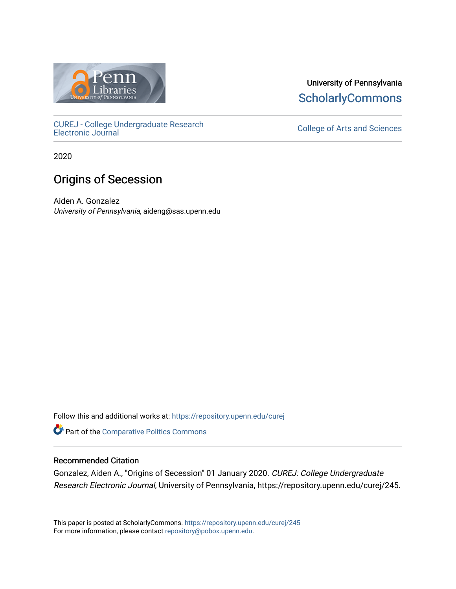

[CUREJ - College Undergraduate Research](https://repository.upenn.edu/curej) 

2020

# Origins of Secession

Aiden A. Gonzalez University of Pennsylvania, aideng@sas.upenn.edu

Follow this and additional works at: [https://repository.upenn.edu/curej](https://repository.upenn.edu/curej?utm_source=repository.upenn.edu%2Fcurej%2F245&utm_medium=PDF&utm_campaign=PDFCoverPages)

**Part of the Comparative Politics Commons** 

# Recommended Citation

Gonzalez, Aiden A., "Origins of Secession" 01 January 2020. CUREJ: College Undergraduate Research Electronic Journal, University of Pennsylvania, https://repository.upenn.edu/curej/245.

This paper is posted at ScholarlyCommons.<https://repository.upenn.edu/curej/245> For more information, please contact [repository@pobox.upenn.edu.](mailto:repository@pobox.upenn.edu)

University of Pennsylvania **ScholarlyCommons** 

College of Arts and Sciences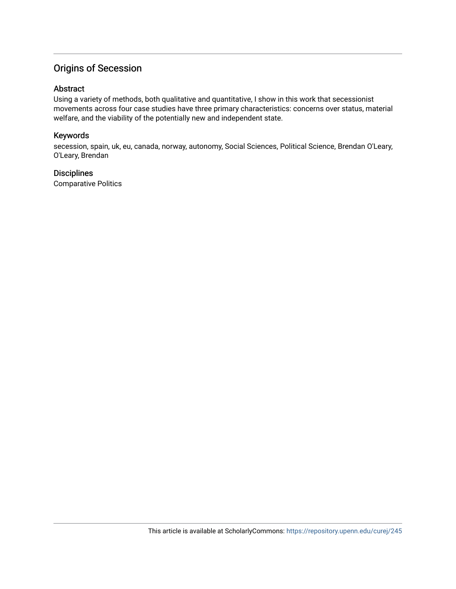# Origins of Secession

#### Abstract

Using a variety of methods, both qualitative and quantitative, I show in this work that secessionist movements across four case studies have three primary characteristics: concerns over status, material welfare, and the viability of the potentially new and independent state.

#### Keywords

secession, spain, uk, eu, canada, norway, autonomy, Social Sciences, Political Science, Brendan O'Leary, O'Leary, Brendan

#### **Disciplines**

Comparative Politics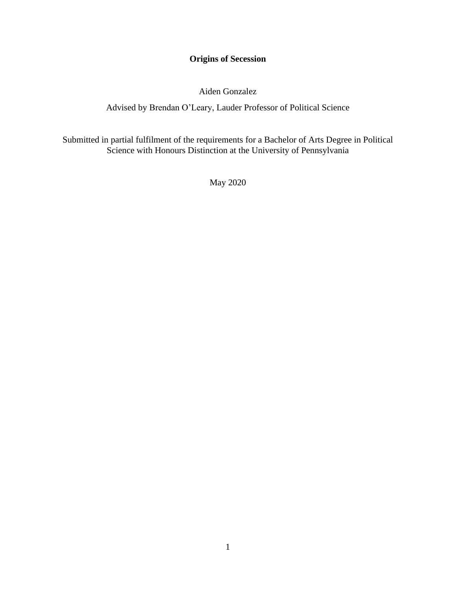# **Origins of Secession**

Aiden Gonzalez

Advised by Brendan O'Leary, Lauder Professor of Political Science

Submitted in partial fulfilment of the requirements for a Bachelor of Arts Degree in Political Science with Honours Distinction at the University of Pennsylvania

May 2020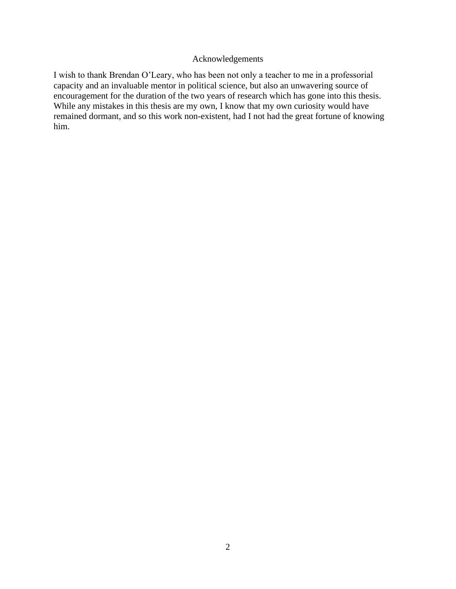#### Acknowledgements

I wish to thank Brendan O'Leary, who has been not only a teacher to me in a professorial capacity and an invaluable mentor in political science, but also an unwavering source of encouragement for the duration of the two years of research which has gone into this thesis. While any mistakes in this thesis are my own, I know that my own curiosity would have remained dormant, and so this work non-existent, had I not had the great fortune of knowing him.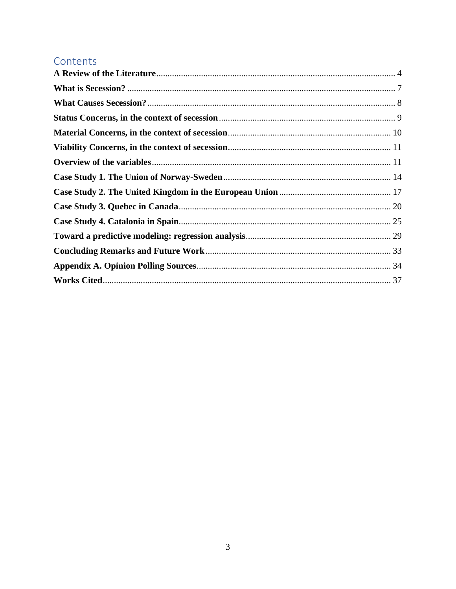# Contents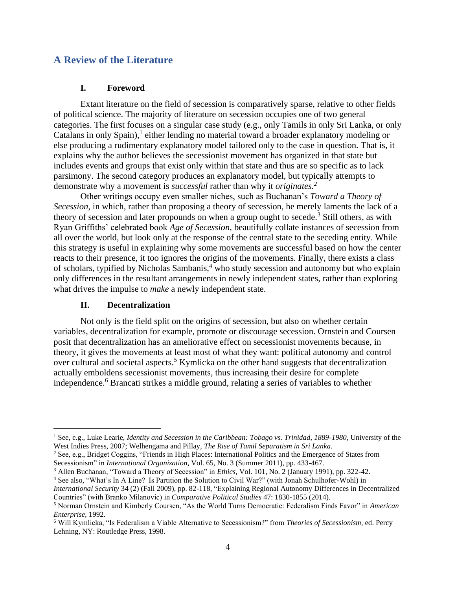# <span id="page-5-0"></span>**A Review of the Literature**

## **I. Foreword**

Extant literature on the field of secession is comparatively sparse, relative to other fields of political science. The majority of literature on secession occupies one of two general categories. The first focuses on a singular case study (e.g., only Tamils in only Sri Lanka, or only Catalans in only Spain), $<sup>1</sup>$  either lending no material toward a broader explanatory modeling or</sup> else producing a rudimentary explanatory model tailored only to the case in question. That is, it explains why the author believes the secessionist movement has organized in that state but includes events and groups that exist only within that state and thus are so specific as to lack parsimony. The second category produces an explanatory model, but typically attempts to demonstrate why a movement is *successful* rather than why it *originates.<sup>2</sup>*

Other writings occupy even smaller niches, such as Buchanan's *Toward a Theory of Secession*, in which, rather than proposing a theory of secession, he merely laments the lack of a theory of secession and later propounds on when a group ought to secede.<sup>3</sup> Still others, as with Ryan Griffiths' celebrated book *Age of Secession,* beautifully collate instances of secession from all over the world, but look only at the response of the central state to the seceding entity. While this strategy is useful in explaining why some movements are successful based on how the center reacts to their presence, it too ignores the origins of the movements. Finally, there exists a class of scholars, typified by Nicholas Sambanis,<sup>4</sup> who study secession and autonomy but who explain only differences in the resultant arrangements in newly independent states, rather than exploring what drives the impulse to *make* a newly independent state.

#### **II. Decentralization**

Not only is the field split on the origins of secession, but also on whether certain variables, decentralization for example, promote or discourage secession. Ornstein and Coursen posit that decentralization has an ameliorative effect on secessionist movements because, in theory, it gives the movements at least most of what they want: political autonomy and control over cultural and societal aspects.<sup>5</sup> Kymlicka on the other hand suggests that decentralization actually emboldens secessionist movements, thus increasing their desire for complete independence.<sup>6</sup> Brancati strikes a middle ground, relating a series of variables to whether

<sup>&</sup>lt;sup>1</sup> See, e.g., Luke Learie, *Identity and Secession in the Caribbean: Tobago vs. Trinidad, 1889-1980*, University of the West Indies Press, 2007; Welhengama and Pillay, *The Rise of Tamil Separatism in Sri Lanka.* 

<sup>&</sup>lt;sup>2</sup> See, e.g., Bridget Coggins, "Friends in High Places: International Politics and the Emergence of States from Secessionism" in *International Organization,* Vol. 65, No. 3 (Summer 2011), pp. 433-467.

<sup>3</sup> Allen Buchanan, "Toward a Theory of Secession" in *Ethics,* Vol. 101, No. 2 (January 1991), pp. 322-42.

<sup>4</sup> See also, "What's In A Line? Is Partition the Solution to Civil War?" (with Jonah Schulhofer-Wohl) in *International Security* 34 (2) (Fall 2009), pp. 82-118, "Explaining Regional Autonomy Differences in Decentralized Countries" (with Branko Milanovic) in *Comparative Political Studies* 47: 1830-1855 (2014).

<sup>5</sup> Norman Ornstein and Kimberly Coursen, "As the World Turns Democratic: Federalism Finds Favor" in *American Enterprise,* 1992.

<sup>6</sup> Will Kymlicka, "Is Federalism a Viable Alternative to Secessionism?" from *Theories of Secessionism,* ed. Percy Lehning, NY: Routledge Press, 1998.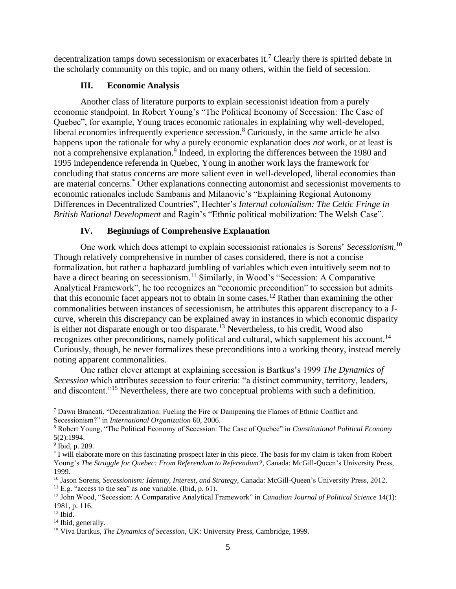decentralization tamps down secessionism or exacerbates it.<sup>7</sup> Clearly there is spirited debate in the scholarly community on this topic, and on many others, within the field of secession.

# **III. Economic Analysis**

Another class of literature purports to explain secessionist ideation from a purely economic standpoint. In Robert Young's "The Political Economy of Secession: The Case of Quebec", for example, Young traces economic rationales in explaining why well-developed, liberal economies infrequently experience secession.<sup>8</sup> Curiously, in the same article he also happens upon the rationale for why a purely economic explanation does *not* work, or at least is not a comprehensive explanation.<sup>9</sup> Indeed, in exploring the differences between the 1980 and 1995 independence referenda in Quebec, Young in another work lays the framework for concluding that status concerns are more salient even in well-developed, liberal economies than are material concerns. \* Other explanations connecting autonomist and secessionist movements to economic rationales include Sambanis and Milanovic's "Explaining Regional Autonomy Differences in Decentralized Countries", Hechter's *Internal colonialism: The Celtic Fringe in British National Development* and Ragin's "Ethnic political mobilization: The Welsh Case".

# **IV. Beginnings of Comprehensive Explanation**

One work which does attempt to explain secessionist rationales is Sorens' *Secessionism*. 10 Though relatively comprehensive in number of cases considered, there is not a concise formalization, but rather a haphazard jumbling of variables which even intuitively seem not to have a direct bearing on secessionism.<sup>11</sup> Similarly, in Wood's "Secession: A Comparative Analytical Framework", he too recognizes an "economic precondition" to secession but admits that this economic facet appears not to obtain in some cases.<sup>12</sup> Rather than examining the other commonalities between instances of secessionism, he attributes this apparent discrepancy to a Jcurve, wherein this discrepancy can be explained away in instances in which economic disparity is either not disparate enough or too disparate.<sup>13</sup> Nevertheless, to his credit, Wood also recognizes other preconditions, namely political and cultural, which supplement his account.<sup>14</sup> Curiously, though, he never formalizes these preconditions into a working theory, instead merely noting apparent commonalities.

One rather clever attempt at explaining secession is Bartkus's 1999 *The Dynamics of Secession* which attributes secession to four criteria: "a distinct community, territory, leaders, and discontent."<sup>15</sup> Nevertheless, there are two conceptual problems with such a definition.

 $11$  E.g. "access to the sea" as one variable. (Ibid, p. 61).

<sup>7</sup> Dawn Brancati, "Decentralization: Fueling the Fire or Dampening the Flames of Ethnic Conflict and Secessionism?" in *International Organization* 60, 2006.

<sup>8</sup> Robert Young, "The Political Economy of Secession: The Case of Quebec" in *Constitutional Political Economy*  5(2):1994.

<sup>9</sup> Ibid, p. 289.

<sup>\*</sup> I will elaborate more on this fascinating prospect later in this piece. The basis for my claim is taken from Robert Young's *The Struggle for Quebec: From Referendum to Referendum?,* Canada: McGill-Queen's University Press, 1999.

<sup>&</sup>lt;sup>10</sup> Jason Sorens, *Secessionism: Identity, Interest, and Strategy, Canada: McGill-Queen's University Press, 2012.* 

<sup>12</sup> John Wood, "Secession: A Comparative Analytical Framework" in *Canadian Journal of Political Science* 14(1): 1981, p. 116.

 $13$  Ibid.

<sup>&</sup>lt;sup>14</sup> Ibid, generally.

<sup>15</sup> Viva Bartkus, *The Dynamics of Secession,* UK: University Press, Cambridge, 1999.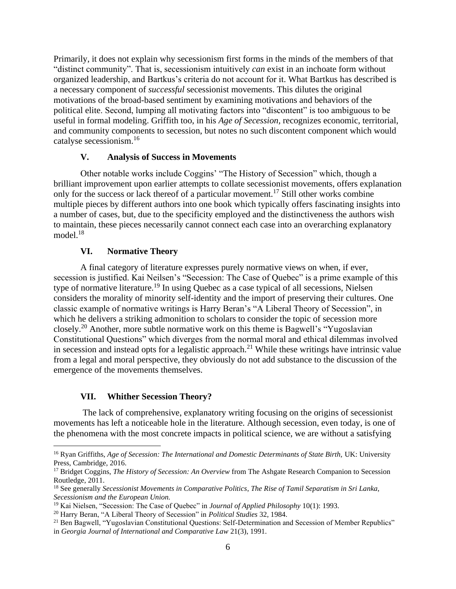Primarily, it does not explain why secessionism first forms in the minds of the members of that "distinct community". That is, secessionism intuitively *can* exist in an inchoate form without organized leadership, and Bartkus's criteria do not account for it. What Bartkus has described is a necessary component of *successful* secessionist movements. This dilutes the original motivations of the broad-based sentiment by examining motivations and behaviors of the political elite. Second, lumping all motivating factors into "discontent" is too ambiguous to be useful in formal modeling. Griffith too, in his *Age of Secession,* recognizes economic, territorial, and community components to secession, but notes no such discontent component which would catalyse secessionism.<sup>16</sup>

#### **V. Analysis of Success in Movements**

Other notable works include Coggins' "The History of Secession" which, though a brilliant improvement upon earlier attempts to collate secessionist movements, offers explanation only for the success or lack thereof of a particular movement.<sup>17</sup> Still other works combine multiple pieces by different authors into one book which typically offers fascinating insights into a number of cases, but, due to the specificity employed and the distinctiveness the authors wish to maintain, these pieces necessarily cannot connect each case into an overarching explanatory model.<sup>18</sup>

# **VI. Normative Theory**

A final category of literature expresses purely normative views on when, if ever, secession is justified. Kai Neilsen's "Secession: The Case of Quebec" is a prime example of this type of normative literature.<sup>19</sup> In using Quebec as a case typical of all secessions, Nielsen considers the morality of minority self-identity and the import of preserving their cultures. One classic example of normative writings is Harry Beran's "A Liberal Theory of Secession", in which he delivers a striking admonition to scholars to consider the topic of secession more closely.<sup>20</sup> Another, more subtle normative work on this theme is Bagwell's "Yugoslavian Constitutional Questions" which diverges from the normal moral and ethical dilemmas involved in secession and instead opts for a legalistic approach.<sup>21</sup> While these writings have intrinsic value from a legal and moral perspective, they obviously do not add substance to the discussion of the emergence of the movements themselves.

# **VII. Whither Secession Theory?**

The lack of comprehensive, explanatory writing focusing on the origins of secessionist movements has left a noticeable hole in the literature. Although secession, even today, is one of the phenomena with the most concrete impacts in political science, we are without a satisfying

<sup>&</sup>lt;sup>16</sup> Ryan Griffiths, *Age of Secession: The International and Domestic Determinants of State Birth, UK: University* Press, Cambridge, 2016.

<sup>17</sup> Bridget Coggins, *The History of Secession: An Overview* from The Ashgate Research Companion to Secession Routledge, 2011.

<sup>18</sup> See generally *Secessionist Movements in Comparative Politics*, *The Rise of Tamil Separatism in Sri Lanka, Secessionism and the European Union.* 

<sup>19</sup> Kai Nielsen, "Secession: The Case of Quebec" in *Journal of Applied Philosophy* 10(1): 1993.

<sup>20</sup> Harry Beran, "A Liberal Theory of Secession" in *Political Studies* 32, 1984.

<sup>&</sup>lt;sup>21</sup> Ben Bagwell, "Yugoslavian Constitutional Questions: Self-Determination and Secession of Member Republics" in *Georgia Journal of International and Comparative Law* 21(3), 1991.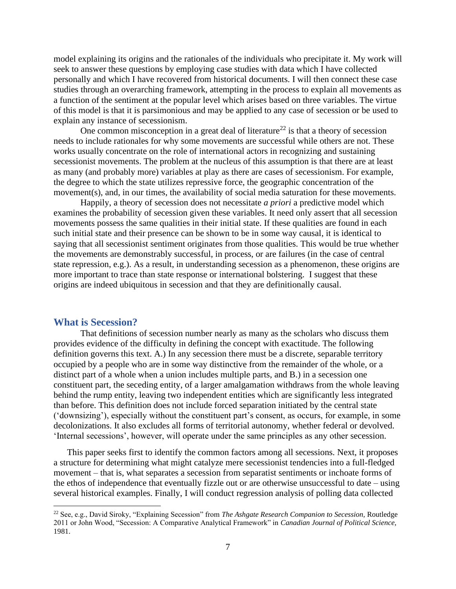model explaining its origins and the rationales of the individuals who precipitate it. My work will seek to answer these questions by employing case studies with data which I have collected personally and which I have recovered from historical documents. I will then connect these case studies through an overarching framework, attempting in the process to explain all movements as a function of the sentiment at the popular level which arises based on three variables. The virtue of this model is that it is parsimonious and may be applied to any case of secession or be used to explain any instance of secessionism.

One common misconception in a great deal of literature<sup>22</sup> is that a theory of secession needs to include rationales for why some movements are successful while others are not. These works usually concentrate on the role of international actors in recognizing and sustaining secessionist movements. The problem at the nucleus of this assumption is that there are at least as many (and probably more) variables at play as there are cases of secessionism. For example, the degree to which the state utilizes repressive force, the geographic concentration of the movement(s), and, in our times, the availability of social media saturation for these movements.

Happily, a theory of secession does not necessitate *a priori* a predictive model which examines the probability of secession given these variables. It need only assert that all secession movements possess the same qualities in their initial state. If these qualities are found in each such initial state and their presence can be shown to be in some way causal, it is identical to saying that all secessionist sentiment originates from those qualities. This would be true whether the movements are demonstrably successful, in process, or are failures (in the case of central state repression, e.g.). As a result, in understanding secession as a phenomenon, these origins are more important to trace than state response or international bolstering. I suggest that these origins are indeed ubiquitous in secession and that they are definitionally causal.

#### <span id="page-8-0"></span>**What is Secession?**

That definitions of secession number nearly as many as the scholars who discuss them provides evidence of the difficulty in defining the concept with exactitude. The following definition governs this text. A.) In any secession there must be a discrete, separable territory occupied by a people who are in some way distinctive from the remainder of the whole, or a distinct part of a whole when a union includes multiple parts, and B.) in a secession one constituent part, the seceding entity, of a larger amalgamation withdraws from the whole leaving behind the rump entity, leaving two independent entities which are significantly less integrated than before. This definition does not include forced separation initiated by the central state ('downsizing'), especially without the constituent part's consent, as occurs, for example, in some decolonizations. It also excludes all forms of territorial autonomy, whether federal or devolved. 'Internal secessions', however, will operate under the same principles as any other secession.

This paper seeks first to identify the common factors among all secessions. Next, it proposes a structure for determining what might catalyze mere secessionist tendencies into a full-fledged movement – that is, what separates a secession from separatist sentiments or inchoate forms of the ethos of independence that eventually fizzle out or are otherwise unsuccessful to date – using several historical examples. Finally, I will conduct regression analysis of polling data collected

<sup>22</sup> See, e.g., David Siroky, "Explaining Secession" from *The Ashgate Research Companion to Secession,* Routledge 2011 or John Wood, "Secession: A Comparative Analytical Framework" in *Canadian Journal of Political Science,*  1981.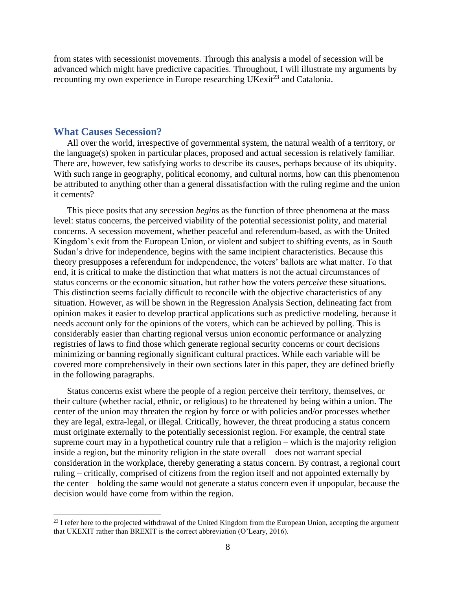from states with secessionist movements. Through this analysis a model of secession will be advanced which might have predictive capacities. Throughout, I will illustrate my arguments by recounting my own experience in Europe researching  $UKexit^{23}$  and Catalonia.

# <span id="page-9-0"></span>**What Causes Secession?**

All over the world, irrespective of governmental system, the natural wealth of a territory, or the language(s) spoken in particular places, proposed and actual secession is relatively familiar. There are, however, few satisfying works to describe its causes, perhaps because of its ubiquity. With such range in geography, political economy, and cultural norms, how can this phenomenon be attributed to anything other than a general dissatisfaction with the ruling regime and the union it cements?

This piece posits that any secession *begins* as the function of three phenomena at the mass level: status concerns, the perceived viability of the potential secessionist polity, and material concerns. A secession movement, whether peaceful and referendum-based, as with the United Kingdom's exit from the European Union, or violent and subject to shifting events, as in South Sudan's drive for independence, begins with the same incipient characteristics. Because this theory presupposes a referendum for independence, the voters' ballots are what matter. To that end, it is critical to make the distinction that what matters is not the actual circumstances of status concerns or the economic situation, but rather how the voters *perceive* these situations. This distinction seems facially difficult to reconcile with the objective characteristics of any situation. However, as will be shown in the Regression Analysis Section, delineating fact from opinion makes it easier to develop practical applications such as predictive modeling, because it needs account only for the opinions of the voters, which can be achieved by polling. This is considerably easier than charting regional versus union economic performance or analyzing registries of laws to find those which generate regional security concerns or court decisions minimizing or banning regionally significant cultural practices. While each variable will be covered more comprehensively in their own sections later in this paper, they are defined briefly in the following paragraphs.

Status concerns exist where the people of a region perceive their territory, themselves, or their culture (whether racial, ethnic, or religious) to be threatened by being within a union. The center of the union may threaten the region by force or with policies and/or processes whether they are legal, extra-legal, or illegal. Critically, however, the threat producing a status concern must originate externally to the potentially secessionist region. For example, the central state supreme court may in a hypothetical country rule that a religion – which is the majority religion inside a region, but the minority religion in the state overall – does not warrant special consideration in the workplace, thereby generating a status concern. By contrast, a regional court ruling – critically, comprised of citizens from the region itself and not appointed externally by the center – holding the same would not generate a status concern even if unpopular, because the decision would have come from within the region.

<sup>&</sup>lt;sup>23</sup> I refer here to the projected withdrawal of the United Kingdom from the European Union, accepting the argument that UKEXIT rather than BREXIT is the correct abbreviation (O'Leary, 2016).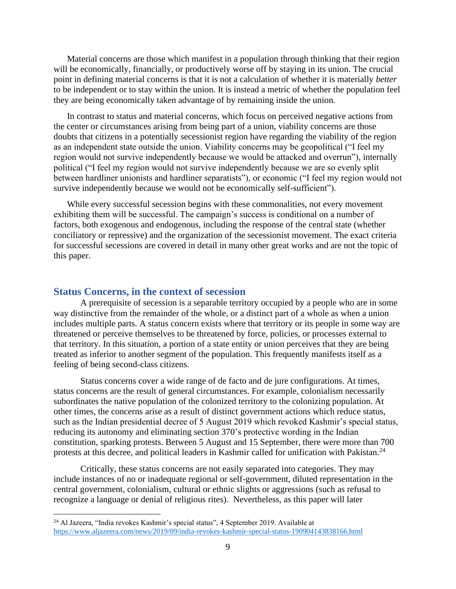Material concerns are those which manifest in a population through thinking that their region will be economically, financially, or productively worse off by staying in its union. The crucial point in defining material concerns is that it is not a calculation of whether it is materially *better*  to be independent or to stay within the union. It is instead a metric of whether the population feel they are being economically taken advantage of by remaining inside the union.

In contrast to status and material concerns, which focus on perceived negative actions from the center or circumstances arising from being part of a union, viability concerns are those doubts that citizens in a potentially secessionist region have regarding the viability of the region as an independent state outside the union. Viability concerns may be geopolitical ("I feel my region would not survive independently because we would be attacked and overrun"), internally political ("I feel my region would not survive independently because we are so evenly split between hardliner unionists and hardliner separatists"), or economic ("I feel my region would not survive independently because we would not be economically self-sufficient").

While every successful secession begins with these commonalities, not every movement exhibiting them will be successful. The campaign's success is conditional on a number of factors, both exogenous and endogenous, including the response of the central state (whether conciliatory or repressive) and the organization of the secessionist movement. The exact criteria for successful secessions are covered in detail in many other great works and are not the topic of this paper.

# <span id="page-10-0"></span>**Status Concerns, in the context of secession**

A prerequisite of secession is a separable territory occupied by a people who are in some way distinctive from the remainder of the whole, or a distinct part of a whole as when a union includes multiple parts. A status concern exists where that territory or its people in some way are threatened or perceive themselves to be threatened by force, policies, or processes external to that territory. In this situation, a portion of a state entity or union perceives that they are being treated as inferior to another segment of the population. This frequently manifests itself as a feeling of being second-class citizens.

Status concerns cover a wide range of de facto and de jure configurations. At times, status concerns are the result of general circumstances. For example, colonialism necessarily subordinates the native population of the colonized territory to the colonizing population. At other times, the concerns arise as a result of distinct government actions which reduce status, such as the Indian presidential decree of 5 August 2019 which revoked Kashmir's special status, reducing its autonomy and eliminating section 370's protective wording in the Indian constitution, sparking protests. Between 5 August and 15 September, there were more than 700 protests at this decree, and political leaders in Kashmir called for unification with Pakistan.<sup>24</sup>

Critically, these status concerns are not easily separated into categories. They may include instances of no or inadequate regional or self-government, diluted representation in the central government, colonialism, cultural or ethnic slights or aggressions (such as refusal to recognize a language or denial of religious rites). Nevertheless, as this paper will later

<sup>24</sup> Al Jazeera, "India revokes Kashmir's special status", 4 September 2019. Available at <https://www.aljazeera.com/news/2019/09/india-revokes-kashmir-special-status-190904143838166.html>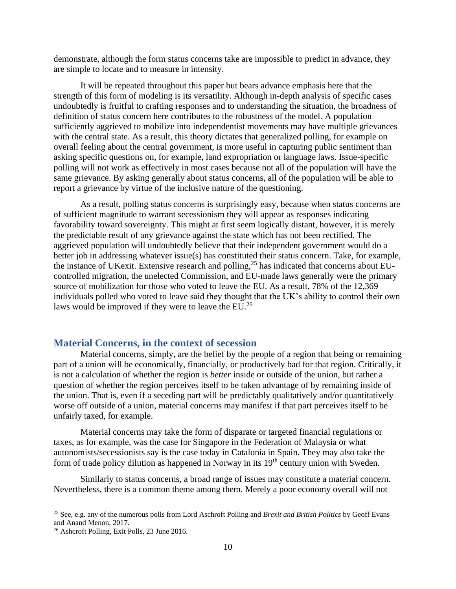demonstrate, although the form status concerns take are impossible to predict in advance, they are simple to locate and to measure in intensity.

It will be repeated throughout this paper but bears advance emphasis here that the strength of this form of modeling is its versatility. Although in-depth analysis of specific cases undoubtedly is fruitful to crafting responses and to understanding the situation, the broadness of definition of status concern here contributes to the robustness of the model. A population sufficiently aggrieved to mobilize into independentist movements may have multiple grievances with the central state. As a result, this theory dictates that generalized polling, for example on overall feeling about the central government, is more useful in capturing public sentiment than asking specific questions on, for example, land expropriation or language laws. Issue-specific polling will not work as effectively in most cases because not all of the population will have the same grievance. By asking generally about status concerns, all of the population will be able to report a grievance by virtue of the inclusive nature of the questioning.

As a result, polling status concerns is surprisingly easy, because when status concerns are of sufficient magnitude to warrant secessionism they will appear as responses indicating favorability toward sovereignty. This might at first seem logically distant, however, it is merely the predictable result of any grievance against the state which has not been rectified. The aggrieved population will undoubtedly believe that their independent government would do a better job in addressing whatever issue(s) has constituted their status concern. Take, for example, the instance of UKexit. Extensive research and polling,  $^{25}$  has indicated that concerns about EUcontrolled migration, the unelected Commission, and EU-made laws generally were the primary source of mobilization for those who voted to leave the EU. As a result, 78% of the 12,369 individuals polled who voted to leave said they thought that the UK's ability to control their own laws would be improved if they were to leave the EU.<sup>26</sup>

# <span id="page-11-0"></span>**Material Concerns, in the context of secession**

Material concerns, simply, are the belief by the people of a region that being or remaining part of a union will be economically, financially, or productively bad for that region. Critically, it is not a calculation of whether the region is *better* inside or outside of the union, but rather a question of whether the region perceives itself to be taken advantage of by remaining inside of the union. That is, even if a seceding part will be predictably qualitatively and/or quantitatively worse off outside of a union, material concerns may manifest if that part perceives itself to be unfairly taxed, for example.

Material concerns may take the form of disparate or targeted financial regulations or taxes, as for example, was the case for Singapore in the Federation of Malaysia or what autonomists/secessionists say is the case today in Catalonia in Spain. They may also take the form of trade policy dilution as happened in Norway in its  $19<sup>th</sup>$  century union with Sweden.

Similarly to status concerns, a broad range of issues may constitute a material concern. Nevertheless, there is a common theme among them. Merely a poor economy overall will not

<sup>25</sup> See, e.g. any of the numerous polls from Lord Aschroft Polling and *Brexit and British Politics* by Geoff Evans and Anand Menon, 2017.

<sup>26</sup> Ashcroft Polling, Exit Polls, 23 June 2016.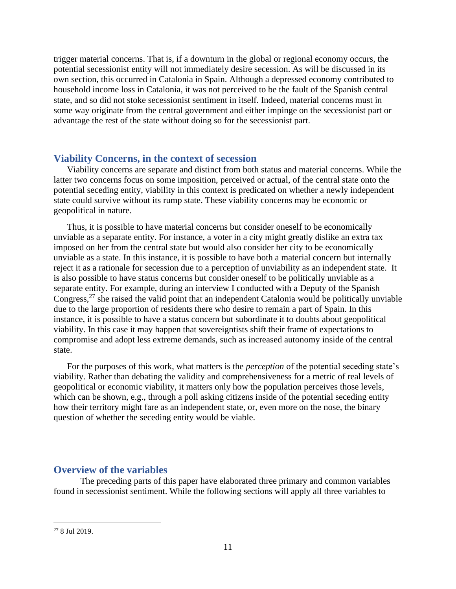trigger material concerns. That is, if a downturn in the global or regional economy occurs, the potential secessionist entity will not immediately desire secession. As will be discussed in its own section, this occurred in Catalonia in Spain. Although a depressed economy contributed to household income loss in Catalonia, it was not perceived to be the fault of the Spanish central state, and so did not stoke secessionist sentiment in itself. Indeed, material concerns must in some way originate from the central government and either impinge on the secessionist part or advantage the rest of the state without doing so for the secessionist part.

# <span id="page-12-0"></span>**Viability Concerns, in the context of secession**

Viability concerns are separate and distinct from both status and material concerns. While the latter two concerns focus on some imposition, perceived or actual, of the central state onto the potential seceding entity, viability in this context is predicated on whether a newly independent state could survive without its rump state. These viability concerns may be economic or geopolitical in nature.

Thus, it is possible to have material concerns but consider oneself to be economically unviable as a separate entity. For instance, a voter in a city might greatly dislike an extra tax imposed on her from the central state but would also consider her city to be economically unviable as a state. In this instance, it is possible to have both a material concern but internally reject it as a rationale for secession due to a perception of unviability as an independent state. It is also possible to have status concerns but consider oneself to be politically unviable as a separate entity. For example, during an interview I conducted with a Deputy of the Spanish Congress,<sup>27</sup> she raised the valid point that an independent Catalonia would be politically unviable due to the large proportion of residents there who desire to remain a part of Spain. In this instance, it is possible to have a status concern but subordinate it to doubts about geopolitical viability. In this case it may happen that sovereigntists shift their frame of expectations to compromise and adopt less extreme demands, such as increased autonomy inside of the central state.

For the purposes of this work, what matters is the *perception* of the potential seceding state's viability. Rather than debating the validity and comprehensiveness for a metric of real levels of geopolitical or economic viability, it matters only how the population perceives those levels, which can be shown, e.g., through a poll asking citizens inside of the potential seceding entity how their territory might fare as an independent state, or, even more on the nose, the binary question of whether the seceding entity would be viable.

# <span id="page-12-1"></span>**Overview of the variables**

The preceding parts of this paper have elaborated three primary and common variables found in secessionist sentiment. While the following sections will apply all three variables to

<sup>27</sup> 8 Jul 2019.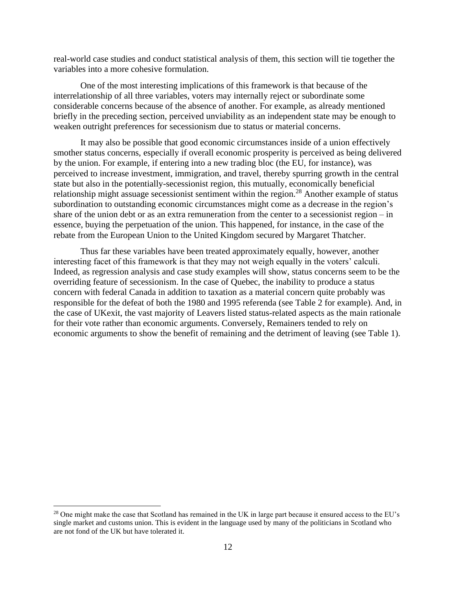real-world case studies and conduct statistical analysis of them, this section will tie together the variables into a more cohesive formulation.

One of the most interesting implications of this framework is that because of the interrelationship of all three variables, voters may internally reject or subordinate some considerable concerns because of the absence of another. For example, as already mentioned briefly in the preceding section, perceived unviability as an independent state may be enough to weaken outright preferences for secessionism due to status or material concerns.

It may also be possible that good economic circumstances inside of a union effectively smother status concerns, especially if overall economic prosperity is perceived as being delivered by the union. For example, if entering into a new trading bloc (the EU, for instance), was perceived to increase investment, immigration, and travel, thereby spurring growth in the central state but also in the potentially-secessionist region, this mutually, economically beneficial relationship might assuage secessionist sentiment within the region.<sup>28</sup> Another example of status subordination to outstanding economic circumstances might come as a decrease in the region's share of the union debt or as an extra remuneration from the center to a secessionist region – in essence, buying the perpetuation of the union. This happened, for instance, in the case of the rebate from the European Union to the United Kingdom secured by Margaret Thatcher.

Thus far these variables have been treated approximately equally, however, another interesting facet of this framework is that they may not weigh equally in the voters' calculi. Indeed, as regression analysis and case study examples will show, status concerns seem to be the overriding feature of secessionism. In the case of Quebec, the inability to produce a status concern with federal Canada in addition to taxation as a material concern quite probably was responsible for the defeat of both the 1980 and 1995 referenda (see Table 2 for example). And, in the case of UKexit, the vast majority of Leavers listed status-related aspects as the main rationale for their vote rather than economic arguments. Conversely, Remainers tended to rely on economic arguments to show the benefit of remaining and the detriment of leaving (see Table 1).

<sup>&</sup>lt;sup>28</sup> One might make the case that Scotland has remained in the UK in large part because it ensured access to the EU's single market and customs union. This is evident in the language used by many of the politicians in Scotland who are not fond of the UK but have tolerated it.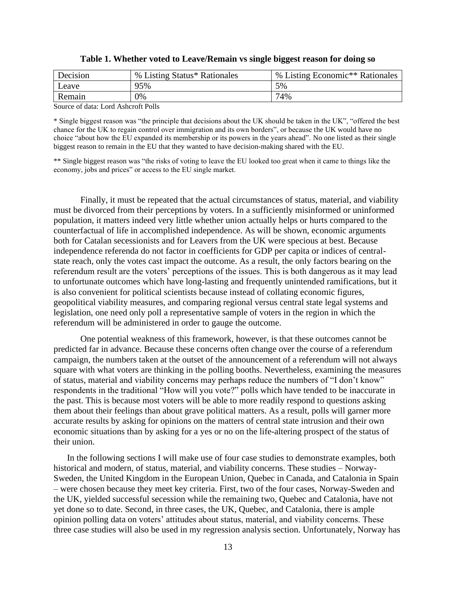| Decision | % Listing Status* Rationales | % Listing Economic <sup>**</sup> Rationales |
|----------|------------------------------|---------------------------------------------|
| Leave    | 95%                          | 5%                                          |
| Remain   | 0%                           | 74%                                         |
|          |                              |                                             |

**Table 1. Whether voted to Leave/Remain vs single biggest reason for doing so**

Source of data: Lord Ashcroft Polls

\* Single biggest reason was "the principle that decisions about the UK should be taken in the UK", "offered the best chance for the UK to regain control over immigration and its own borders", or because the UK would have no choice "about how the EU expanded its membership or its powers in the years ahead". No one listed as their single biggest reason to remain in the EU that they wanted to have decision-making shared with the EU.

\*\* Single biggest reason was "the risks of voting to leave the EU looked too great when it came to things like the economy, jobs and prices" or access to the EU single market.

Finally, it must be repeated that the actual circumstances of status, material, and viability must be divorced from their perceptions by voters. In a sufficiently misinformed or uninformed population, it matters indeed very little whether union actually helps or hurts compared to the counterfactual of life in accomplished independence. As will be shown, economic arguments both for Catalan secessionists and for Leavers from the UK were specious at best. Because independence referenda do not factor in coefficients for GDP per capita or indices of centralstate reach, only the votes cast impact the outcome. As a result, the only factors bearing on the referendum result are the voters' perceptions of the issues. This is both dangerous as it may lead to unfortunate outcomes which have long-lasting and frequently unintended ramifications, but it is also convenient for political scientists because instead of collating economic figures, geopolitical viability measures, and comparing regional versus central state legal systems and legislation, one need only poll a representative sample of voters in the region in which the referendum will be administered in order to gauge the outcome.

One potential weakness of this framework, however, is that these outcomes cannot be predicted far in advance. Because these concerns often change over the course of a referendum campaign, the numbers taken at the outset of the announcement of a referendum will not always square with what voters are thinking in the polling booths. Nevertheless, examining the measures of status, material and viability concerns may perhaps reduce the numbers of "I don't know" respondents in the traditional "How will you vote?" polls which have tended to be inaccurate in the past. This is because most voters will be able to more readily respond to questions asking them about their feelings than about grave political matters. As a result, polls will garner more accurate results by asking for opinions on the matters of central state intrusion and their own economic situations than by asking for a yes or no on the life-altering prospect of the status of their union.

In the following sections I will make use of four case studies to demonstrate examples, both historical and modern, of status, material, and viability concerns. These studies – Norway-Sweden, the United Kingdom in the European Union, Quebec in Canada, and Catalonia in Spain – were chosen because they meet key criteria. First, two of the four cases, Norway-Sweden and the UK, yielded successful secession while the remaining two, Quebec and Catalonia, have not yet done so to date. Second, in three cases, the UK, Quebec, and Catalonia, there is ample opinion polling data on voters' attitudes about status, material, and viability concerns. These three case studies will also be used in my regression analysis section. Unfortunately, Norway has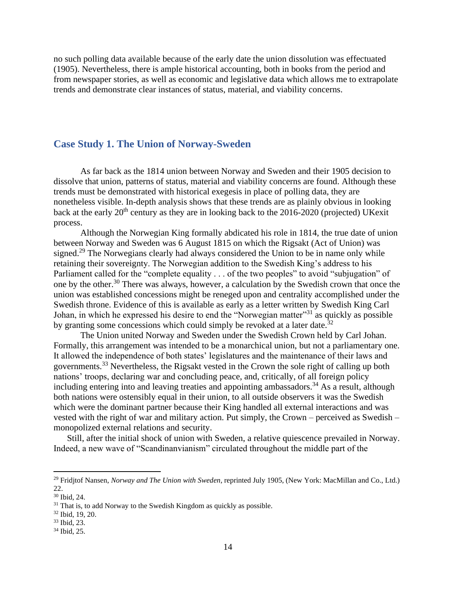no such polling data available because of the early date the union dissolution was effectuated (1905). Nevertheless, there is ample historical accounting, both in books from the period and from newspaper stories, as well as economic and legislative data which allows me to extrapolate trends and demonstrate clear instances of status, material, and viability concerns.

# <span id="page-15-0"></span>**Case Study 1. The Union of Norway-Sweden**

As far back as the 1814 union between Norway and Sweden and their 1905 decision to dissolve that union, patterns of status, material and viability concerns are found. Although these trends must be demonstrated with historical exegesis in place of polling data, they are nonetheless visible. In-depth analysis shows that these trends are as plainly obvious in looking back at the early  $20<sup>th</sup>$  century as they are in looking back to the 2016-2020 (projected) UKexit process.

Although the Norwegian King formally abdicated his role in 1814, the true date of union between Norway and Sweden was 6 August 1815 on which the Rigsakt (Act of Union) was signed.<sup>29</sup> The Norwegians clearly had always considered the Union to be in name only while retaining their sovereignty. The Norwegian addition to the Swedish King's address to his Parliament called for the "complete equality . . . of the two peoples" to avoid "subjugation" of one by the other.<sup>30</sup> There was always, however, a calculation by the Swedish crown that once the union was established concessions might be reneged upon and centrality accomplished under the Swedish throne. Evidence of this is available as early as a letter written by Swedish King Carl Johan, in which he expressed his desire to end the "Norwegian matter"<sup>31</sup> as quickly as possible by granting some concessions which could simply be revoked at a later date.<sup>32</sup>

The Union united Norway and Sweden under the Swedish Crown held by Carl Johan. Formally, this arrangement was intended to be a monarchical union, but not a parliamentary one. It allowed the independence of both states' legislatures and the maintenance of their laws and governments.<sup>33</sup> Nevertheless, the Rigsakt vested in the Crown the sole right of calling up both nations' troops, declaring war and concluding peace, and, critically, of all foreign policy including entering into and leaving treaties and appointing ambassadors.<sup>34</sup> As a result, although both nations were ostensibly equal in their union, to all outside observers it was the Swedish which were the dominant partner because their King handled all external interactions and was vested with the right of war and military action. Put simply, the Crown – perceived as Swedish – monopolized external relations and security.

Still, after the initial shock of union with Sweden, a relative quiescence prevailed in Norway. Indeed, a new wave of "Scandinanvianism" circulated throughout the middle part of the

<sup>29</sup> Fridjtof Nansen, *Norway and The Union with Sweden*, reprinted July 1905, (New York: MacMillan and Co., Ltd.) 22.

<sup>30</sup> Ibid, 24.

 $31$  That is, to add Norway to the Swedish Kingdom as quickly as possible.

<sup>32</sup> Ibid, 19, 20.

<sup>33</sup> Ibid, 23.

<sup>34</sup> Ibid, 25.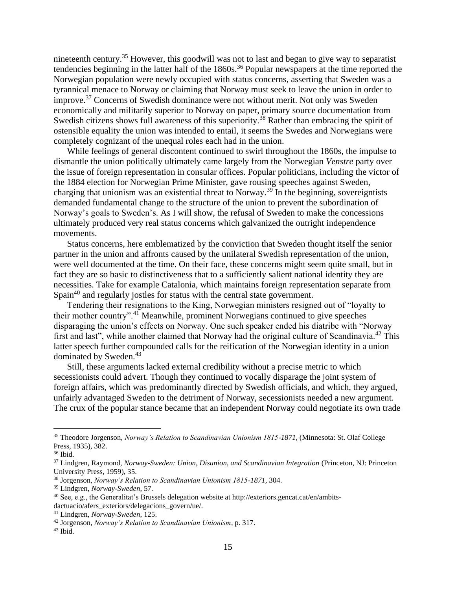nineteenth century.<sup>35</sup> However, this goodwill was not to last and began to give way to separatist tendencies beginning in the latter half of the  $1860s$ .<sup>36</sup> Popular newspapers at the time reported the Norwegian population were newly occupied with status concerns, asserting that Sweden was a tyrannical menace to Norway or claiming that Norway must seek to leave the union in order to improve.<sup>37</sup> Concerns of Swedish dominance were not without merit. Not only was Sweden economically and militarily superior to Norway on paper, primary source documentation from Swedish citizens shows full awareness of this superiority.<sup>38</sup> Rather than embracing the spirit of ostensible equality the union was intended to entail, it seems the Swedes and Norwegians were completely cognizant of the unequal roles each had in the union.

While feelings of general discontent continued to swirl throughout the 1860s, the impulse to dismantle the union politically ultimately came largely from the Norwegian *Venstre* party over the issue of foreign representation in consular offices. Popular politicians, including the victor of the 1884 election for Norwegian Prime Minister, gave rousing speeches against Sweden, charging that unionism was an existential threat to Norway.<sup>39</sup> In the beginning, sovereigntists demanded fundamental change to the structure of the union to prevent the subordination of Norway's goals to Sweden's. As I will show, the refusal of Sweden to make the concessions ultimately produced very real status concerns which galvanized the outright independence movements.

Status concerns, here emblematized by the conviction that Sweden thought itself the senior partner in the union and affronts caused by the unilateral Swedish representation of the union, were well documented at the time. On their face, these concerns might seem quite small, but in fact they are so basic to distinctiveness that to a sufficiently salient national identity they are necessities. Take for example Catalonia, which maintains foreign representation separate from Spain<sup>40</sup> and regularly jostles for status with the central state government.

Tendering their resignations to the King, Norwegian ministers resigned out of "loyalty to their mother country".<sup>41</sup> Meanwhile, prominent Norwegians continued to give speeches disparaging the union's effects on Norway. One such speaker ended his diatribe with "Norway first and last", while another claimed that Norway had the original culture of Scandinavia.<sup>42</sup> This latter speech further compounded calls for the reification of the Norwegian identity in a union dominated by Sweden.<sup>43</sup>

Still, these arguments lacked external credibility without a precise metric to which secessionists could advert. Though they continued to vocally disparage the joint system of foreign affairs, which was predominantly directed by Swedish officials, and which, they argued, unfairly advantaged Sweden to the detriment of Norway, secessionists needed a new argument. The crux of the popular stance became that an independent Norway could negotiate its own trade

<sup>35</sup> Theodore Jorgenson, *Norway's Relation to Scandinavian Unionism 1815-1871,* (Minnesota: St. Olaf College Press, 1935), 382.

<sup>36</sup> Ibid.

<sup>37</sup> Lindgren, Raymond, *Norway-Sweden: Union, Disunion, and Scandinavian Integration* (Princeton, NJ: Princeton University Press, 1959), 35.

<sup>38</sup> Jorgenson, *Norway's Relation to Scandinavian Unionism 1815-1871,* 304.

<sup>39</sup> Lindgren, *Norway-Sweden*, 57.

<sup>40</sup> See, e.g., the Generalitat's Brussels delegation website at http://exteriors.gencat.cat/en/ambitsdactuacio/afers\_exteriors/delegacions\_govern/ue/.

<sup>41</sup> Lindgren, *Norway-Sweden*, 125.

<sup>42</sup> Jorgenson, *Norway's Relation to Scandinavian Unionism*, p. 317.

 $43$  Ibid.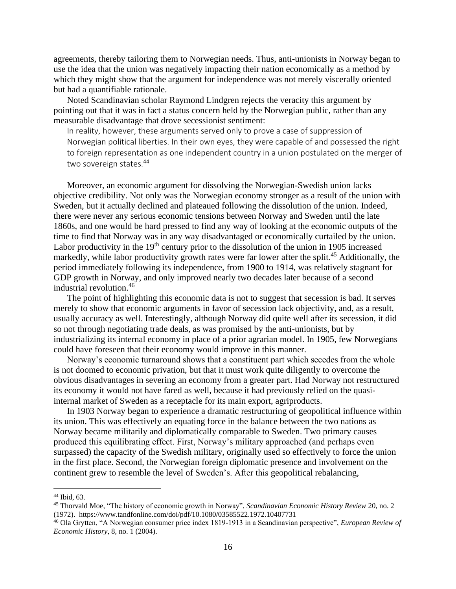agreements, thereby tailoring them to Norwegian needs. Thus, anti-unionists in Norway began to use the idea that the union was negatively impacting their nation economically as a method by which they might show that the argument for independence was not merely viscerally oriented but had a quantifiable rationale.

Noted Scandinavian scholar Raymond Lindgren rejects the veracity this argument by pointing out that it was in fact a status concern held by the Norwegian public, rather than any measurable disadvantage that drove secessionist sentiment:

In reality, however, these arguments served only to prove a case of suppression of Norwegian political liberties. In their own eyes, they were capable of and possessed the right to foreign representation as one independent country in a union postulated on the merger of two sovereign states.<sup>44</sup>

Moreover, an economic argument for dissolving the Norwegian-Swedish union lacks objective credibility. Not only was the Norwegian economy stronger as a result of the union with Sweden, but it actually declined and plateaued following the dissolution of the union. Indeed, there were never any serious economic tensions between Norway and Sweden until the late 1860s, and one would be hard pressed to find any way of looking at the economic outputs of the time to find that Norway was in any way disadvantaged or economically curtailed by the union. Labor productivity in the  $19<sup>th</sup>$  century prior to the dissolution of the union in 1905 increased markedly, while labor productivity growth rates were far lower after the split.<sup>45</sup> Additionally, the period immediately following its independence, from 1900 to 1914, was relatively stagnant for GDP growth in Norway, and only improved nearly two decades later because of a second industrial revolution.<sup>46</sup>

The point of highlighting this economic data is not to suggest that secession is bad. It serves merely to show that economic arguments in favor of secession lack objectivity, and, as a result, usually accuracy as well. Interestingly, although Norway did quite well after its secession, it did so not through negotiating trade deals, as was promised by the anti-unionists, but by industrializing its internal economy in place of a prior agrarian model. In 1905, few Norwegians could have foreseen that their economy would improve in this manner.

Norway's economic turnaround shows that a constituent part which secedes from the whole is not doomed to economic privation, but that it must work quite diligently to overcome the obvious disadvantages in severing an economy from a greater part. Had Norway not restructured its economy it would not have fared as well, because it had previously relied on the quasiinternal market of Sweden as a receptacle for its main export, agriproducts.

In 1903 Norway began to experience a dramatic restructuring of geopolitical influence within its union. This was effectively an equating force in the balance between the two nations as Norway became militarily and diplomatically comparable to Sweden. Two primary causes produced this equilibrating effect. First, Norway's military approached (and perhaps even surpassed) the capacity of the Swedish military, originally used so effectively to force the union in the first place. Second, the Norwegian foreign diplomatic presence and involvement on the continent grew to resemble the level of Sweden's. After this geopolitical rebalancing,

<sup>44</sup> Ibid, 63.

<sup>45</sup> Thorvald Moe, "The history of economic growth in Norway", *Scandinavian Economic History Review* 20, no. 2 (1972). https://www.tandfonline.com/doi/pdf/10.1080/03585522.1972.10407731

<sup>46</sup> Ola Grytten, "A Norwegian consumer price index 1819-1913 in a Scandinavian perspective", *European Review of Economic History,* 8, no. 1 (2004).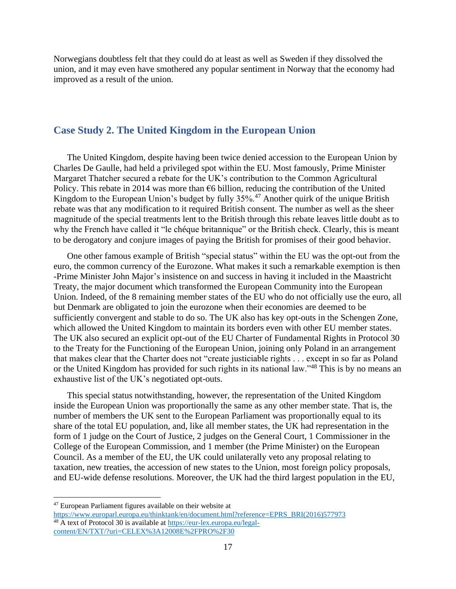Norwegians doubtless felt that they could do at least as well as Sweden if they dissolved the union, and it may even have smothered any popular sentiment in Norway that the economy had improved as a result of the union.

# <span id="page-18-0"></span>**Case Study 2. The United Kingdom in the European Union**

The United Kingdom, despite having been twice denied accession to the European Union by Charles De Gaulle, had held a privileged spot within the EU. Most famously, Prime Minister Margaret Thatcher secured a rebate for the UK's contribution to the Common Agricultural Policy. This rebate in 2014 was more than  $\epsilon$ 6 billion, reducing the contribution of the United Kingdom to the European Union's budget by fully 35%.<sup>47</sup> Another quirk of the unique British rebate was that any modification to it required British consent. The number as well as the sheer magnitude of the special treatments lent to the British through this rebate leaves little doubt as to why the French have called it "le chéque britannique" or the British check. Clearly, this is meant to be derogatory and conjure images of paying the British for promises of their good behavior.

One other famous example of British "special status" within the EU was the opt-out from the euro, the common currency of the Eurozone. What makes it such a remarkable exemption is then -Prime Minister John Major's insistence on and success in having it included in the Maastricht Treaty, the major document which transformed the European Community into the European Union. Indeed, of the 8 remaining member states of the EU who do not officially use the euro, all but Denmark are obligated to join the eurozone when their economies are deemed to be sufficiently convergent and stable to do so. The UK also has key opt-outs in the Schengen Zone, which allowed the United Kingdom to maintain its borders even with other EU member states. The UK also secured an explicit opt-out of the EU Charter of Fundamental Rights in Protocol 30 to the Treaty for the Functioning of the European Union, joining only Poland in an arrangement that makes clear that the Charter does not "create justiciable rights . . . except in so far as Poland or the United Kingdom has provided for such rights in its national law."<sup>48</sup> This is by no means an exhaustive list of the UK's negotiated opt-outs.

This special status notwithstanding, however, the representation of the United Kingdom inside the European Union was proportionally the same as any other member state. That is, the number of members the UK sent to the European Parliament was proportionally equal to its share of the total EU population, and, like all member states, the UK had representation in the form of 1 judge on the Court of Justice, 2 judges on the General Court, 1 Commissioner in the College of the European Commission, and 1 member (the Prime Minister) on the European Council. As a member of the EU, the UK could unilaterally veto any proposal relating to taxation, new treaties, the accession of new states to the Union, most foreign policy proposals, and EU-wide defense resolutions. Moreover, the UK had the third largest population in the EU,

<sup>47</sup> European Parliament figures available on their website at

[https://www.europarl.europa.eu/thinktank/en/document.html?reference=EPRS\\_BRI\(2016\)577973](https://www.europarl.europa.eu/thinktank/en/document.html?reference=EPRS_BRI(2016)577973) <sup>48</sup> A text of Protocol 30 is available at [https://eur-lex.europa.eu/legal](https://eur-lex.europa.eu/legal-content/EN/TXT/?uri=CELEX%3A12008E%2FPRO%2F30)[content/EN/TXT/?uri=CELEX%3A12008E%2FPRO%2F30](https://eur-lex.europa.eu/legal-content/EN/TXT/?uri=CELEX%3A12008E%2FPRO%2F30)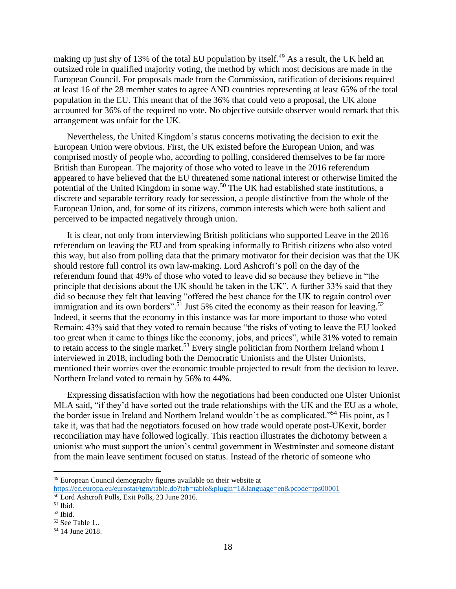making up just shy of 13% of the total EU population by itself.<sup>49</sup> As a result, the UK held an outsized role in qualified majority voting, the method by which most decisions are made in the European Council. For proposals made from the Commission, ratification of decisions required at least 16 of the 28 member states to agree AND countries representing at least 65% of the total population in the EU. This meant that of the 36% that could veto a proposal, the UK alone accounted for 36% of the required no vote. No objective outside observer would remark that this arrangement was unfair for the UK.

Nevertheless, the United Kingdom's status concerns motivating the decision to exit the European Union were obvious. First, the UK existed before the European Union, and was comprised mostly of people who, according to polling, considered themselves to be far more British than European. The majority of those who voted to leave in the 2016 referendum appeared to have believed that the EU threatened some national interest or otherwise limited the potential of the United Kingdom in some way.<sup>50</sup> The UK had established state institutions, a discrete and separable territory ready for secession, a people distinctive from the whole of the European Union, and, for some of its citizens, common interests which were both salient and perceived to be impacted negatively through union.

It is clear, not only from interviewing British politicians who supported Leave in the 2016 referendum on leaving the EU and from speaking informally to British citizens who also voted this way, but also from polling data that the primary motivator for their decision was that the UK should restore full control its own law-making. Lord Ashcroft's poll on the day of the referendum found that 49% of those who voted to leave did so because they believe in "the principle that decisions about the UK should be taken in the UK". A further 33% said that they did so because they felt that leaving "offered the best chance for the UK to regain control over immigration and its own borders".<sup>51</sup> Just 5% cited the economy as their reason for leaving.<sup>52</sup> Indeed, it seems that the economy in this instance was far more important to those who voted Remain: 43% said that they voted to remain because "the risks of voting to leave the EU looked too great when it came to things like the economy, jobs, and prices", while 31% voted to remain to retain access to the single market.<sup>53</sup> Every single politician from Northern Ireland whom I interviewed in 2018, including both the Democratic Unionists and the Ulster Unionists, mentioned their worries over the economic trouble projected to result from the decision to leave. Northern Ireland voted to remain by 56% to 44%.

Expressing dissatisfaction with how the negotiations had been conducted one Ulster Unionist MLA said, "if they'd have sorted out the trade relationships with the UK and the EU as a whole, the border issue in Ireland and Northern Ireland wouldn't be as complicated."<sup>54</sup> His point, as I take it, was that had the negotiators focused on how trade would operate post-UKexit, border reconciliation may have followed logically. This reaction illustrates the dichotomy between a unionist who must support the union's central government in Westminster and someone distant from the main leave sentiment focused on status. Instead of the rhetoric of someone who

<sup>49</sup> European Council demography figures available on their website at

<https://ec.europa.eu/eurostat/tgm/table.do?tab=table&plugin=1&language=en&pcode=tps00001>

<sup>50</sup> Lord Ashcroft Polls, Exit Polls, 23 June 2016.

 $51$  Ibid.

<sup>52</sup> Ibid.

<sup>53</sup> See Table 1..

<sup>54</sup> 14 June 2018.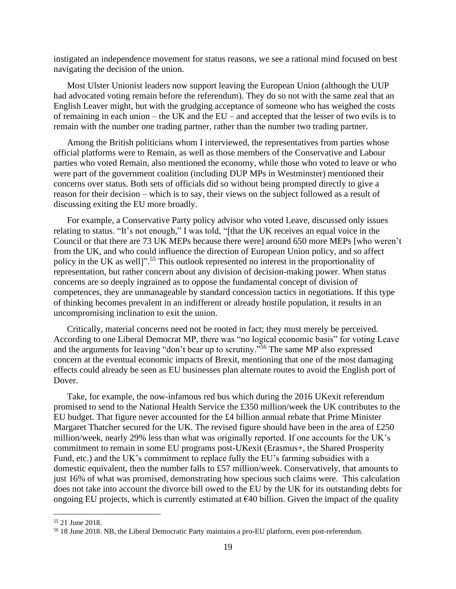instigated an independence movement for status reasons, we see a rational mind focused on best navigating the decision of the union.

Most Ulster Unionist leaders now support leaving the European Union (although the UUP had advocated voting remain before the referendum). They do so not with the same zeal that an English Leaver might, but with the grudging acceptance of someone who has weighed the costs of remaining in each union – the UK and the EU – and accepted that the lesser of two evils is to remain with the number one trading partner, rather than the number two trading partner.

Among the British politicians whom I interviewed, the representatives from parties whose official platforms were to Remain, as well as those members of the Conservative and Labour parties who voted Remain, also mentioned the economy, while those who voted to leave or who were part of the government coalition (including DUP MPs in Westminster) mentioned their concerns over status. Both sets of officials did so without being prompted directly to give a reason for their decision – which is to say, their views on the subject followed as a result of discussing exiting the EU more broadly.

For example, a Conservative Party policy advisor who voted Leave, discussed only issues relating to status. "It's not enough," I was told, "[that the UK receives an equal voice in the Council or that there are 73 UK MEPs because there were] around 650 more MEPs [who weren't from the UK, and who could influence the direction of European Union policy, and so affect policy in the UK as well]".<sup>55</sup> This outlook represented no interest in the proportionality of representation, but rather concern about any division of decision-making power. When status concerns are so deeply ingrained as to oppose the fundamental concept of division of competences, they are unmanageable by standard concession tactics in negotiations. If this type of thinking becomes prevalent in an indifferent or already hostile population, it results in an uncompromising inclination to exit the union.

Critically, material concerns need not be rooted in fact; they must merely be perceived. According to one Liberal Democrat MP, there was "no logical economic basis" for voting Leave and the arguments for leaving "don't bear up to scrutiny."<sup>56</sup> The same MP also expressed concern at the eventual economic impacts of Brexit, mentioning that one of the most damaging effects could already be seen as EU businesses plan alternate routes to avoid the English port of Dover.

Take, for example, the now-infamous red bus which during the 2016 UKexit referendum promised to send to the National Health Service the £350 million/week the UK contributes to the EU budget. That figure never accounted for the £4 billion annual rebate that Prime Minister Margaret Thatcher secured for the UK. The revised figure should have been in the area of £250 million/week, nearly 29% less than what was originally reported. If one accounts for the UK's commitment to remain in some EU programs post-UKexit (Erasmus+, the Shared Prosperity Fund, etc.) and the UK's commitment to replace fully the EU's farming subsidies with a domestic equivalent, then the number falls to £57 million/week. Conservatively, that amounts to just 16% of what was promised, demonstrating how specious such claims were. This calculation does not take into account the divorce bill owed to the EU by the UK for its outstanding debts for ongoing EU projects, which is currently estimated at  $\epsilon$ 40 billion. Given the impact of the quality

<sup>55</sup> 21 June 2018.

<sup>56</sup> 18 June 2018. NB, the Liberal Democratic Party maintains a pro-EU platform, even post-referendum.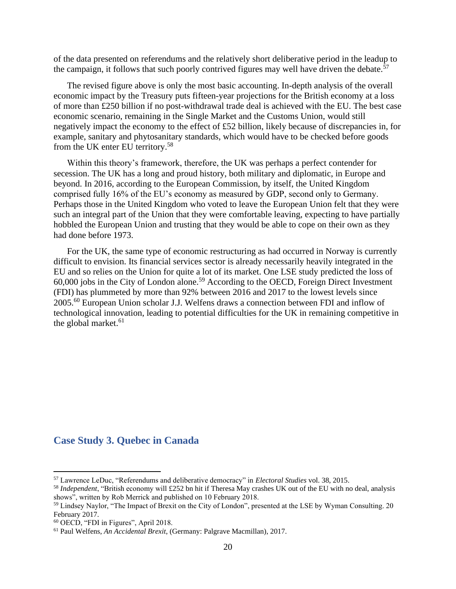of the data presented on referendums and the relatively short deliberative period in the leadup to the campaign, it follows that such poorly contrived figures may well have driven the debate.<sup>57</sup>

The revised figure above is only the most basic accounting. In-depth analysis of the overall economic impact by the Treasury puts fifteen-year projections for the British economy at a loss of more than £250 billion if no post-withdrawal trade deal is achieved with the EU. The best case economic scenario, remaining in the Single Market and the Customs Union, would still negatively impact the economy to the effect of £52 billion, likely because of discrepancies in, for example, sanitary and phytosanitary standards, which would have to be checked before goods from the UK enter EU territory.<sup>58</sup>

Within this theory's framework, therefore, the UK was perhaps a perfect contender for secession. The UK has a long and proud history, both military and diplomatic, in Europe and beyond. In 2016, according to the European Commission, by itself, the United Kingdom comprised fully 16% of the EU's economy as measured by GDP, second only to Germany. Perhaps those in the United Kingdom who voted to leave the European Union felt that they were such an integral part of the Union that they were comfortable leaving, expecting to have partially hobbled the European Union and trusting that they would be able to cope on their own as they had done before 1973.

For the UK, the same type of economic restructuring as had occurred in Norway is currently difficult to envision. Its financial services sector is already necessarily heavily integrated in the EU and so relies on the Union for quite a lot of its market. One LSE study predicted the loss of 60,000 jobs in the City of London alone.<sup>59</sup> According to the OECD, Foreign Direct Investment (FDI) has plummeted by more than 92% between 2016 and 2017 to the lowest levels since 2005.<sup>60</sup> European Union scholar J.J. Welfens draws a connection between FDI and inflow of technological innovation, leading to potential difficulties for the UK in remaining competitive in the global market.<sup>61</sup>

# <span id="page-21-0"></span>**Case Study 3. Quebec in Canada**

<sup>57</sup> Lawrence LeDuc, "Referendums and deliberative democracy" in *Electoral Studies* vol. 38, 2015.

<sup>58</sup> *Independent*, "British economy will £252 bn hit if Theresa May crashes UK out of the EU with no deal, analysis shows", written by Rob Merrick and published on 10 February 2018.

<sup>59</sup> Lindsey Naylor, "The Impact of Brexit on the City of London", presented at the LSE by Wyman Consulting. 20 February 2017.

<sup>60</sup> OECD, "FDI in Figures", April 2018.

<sup>61</sup> Paul Welfens, *An Accidental Brexit*, (Germany: Palgrave Macmillan), 2017.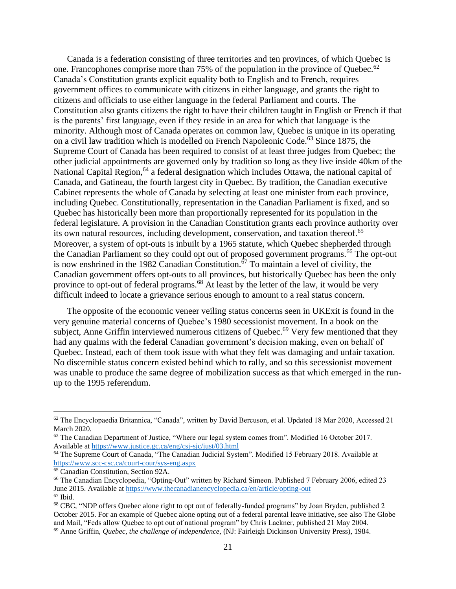Canada is a federation consisting of three territories and ten provinces, of which Quebec is one. Francophones comprise more than 75% of the population in the province of Quebec.<sup>62</sup> Canada's Constitution grants explicit equality both to English and to French, requires government offices to communicate with citizens in either language, and grants the right to citizens and officials to use either language in the federal Parliament and courts. The Constitution also grants citizens the right to have their children taught in English or French if that is the parents' first language, even if they reside in an area for which that language is the minority. Although most of Canada operates on common law, Quebec is unique in its operating on a civil law tradition which is modelled on French Napoleonic Code.<sup>63</sup> Since 1875, the Supreme Court of Canada has been required to consist of at least three judges from Quebec; the other judicial appointments are governed only by tradition so long as they live inside 40km of the National Capital Region,  $64$  a federal designation which includes Ottawa, the national capital of Canada, and Gatineau, the fourth largest city in Quebec. By tradition, the Canadian executive Cabinet represents the whole of Canada by selecting at least one minister from each province, including Quebec. Constitutionally, representation in the Canadian Parliament is fixed, and so Quebec has historically been more than proportionally represented for its population in the federal legislature. A provision in the Canadian Constitution grants each province authority over its own natural resources, including development, conservation, and taxation thereof.<sup>65</sup> Moreover, a system of opt-outs is inbuilt by a 1965 statute, which Quebec shepherded through the Canadian Parliament so they could opt out of proposed government programs.<sup>66</sup> The opt-out is now enshrined in the 1982 Canadian Constitution.<sup>67</sup> To maintain a level of civility, the Canadian government offers opt-outs to all provinces, but historically Quebec has been the only province to opt-out of federal programs.<sup>68</sup> At least by the letter of the law, it would be very difficult indeed to locate a grievance serious enough to amount to a real status concern.

The opposite of the economic veneer veiling status concerns seen in UKExit is found in the very genuine material concerns of Quebec's 1980 secessionist movement. In a book on the subject, Anne Griffin interviewed numerous citizens of Quebec.<sup>69</sup> Very few mentioned that they had any qualms with the federal Canadian government's decision making, even on behalf of Quebec. Instead, each of them took issue with what they felt was damaging and unfair taxation. No discernible status concern existed behind which to rally, and so this secessionist movement was unable to produce the same degree of mobilization success as that which emerged in the runup to the 1995 referendum.

 $62$  The Encyclopaedia Britannica, "Canada", written by David Bercuson, et al. Updated 18 Mar 2020, Accessed 21 March 2020.

<sup>&</sup>lt;sup>63</sup> The Canadian Department of Justice, "Where our legal system comes from". Modified 16 October 2017. Available at<https://www.justice.gc.ca/eng/csj-sjc/just/03.html>

<sup>64</sup> The Supreme Court of Canada, "The Canadian Judicial System". Modified 15 February 2018. Available at <https://www.scc-csc.ca/court-cour/sys-eng.aspx>

<sup>&</sup>lt;sup>65</sup> Canadian Constitution, Section 92A.

<sup>66</sup> The Canadian Encyclopedia, "Opting-Out" written by Richard Simeon. Published 7 February 2006, edited 23 June 2015. Available at<https://www.thecanadianencyclopedia.ca/en/article/opting-out>  $67$  Ibid.

<sup>68</sup> CBC, "NDP offers Quebec alone right to opt out of federally-funded programs" by Joan Bryden, published 2 October 2015. For an example of Quebec alone opting out of a federal parental leave initiative, see also The Globe and Mail, "Feds allow Quebec to opt out of national program" by Chris Lackner, published 21 May 2004. <sup>69</sup> Anne Griffin, *Quebec, the challenge of independence,* (NJ: Fairleigh Dickinson University Press), 1984.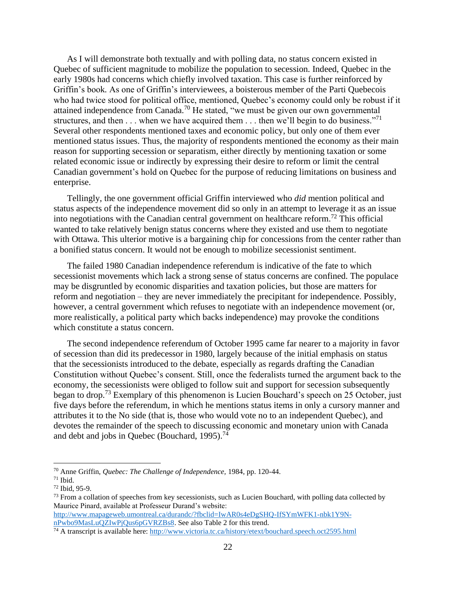As I will demonstrate both textually and with polling data, no status concern existed in Quebec of sufficient magnitude to mobilize the population to secession. Indeed, Quebec in the early 1980s had concerns which chiefly involved taxation. This case is further reinforced by Griffin's book*.* As one of Griffin's interviewees, a boisterous member of the Parti Quebecois who had twice stood for political office, mentioned, Quebec's economy could only be robust if it attained independence from Canada.<sup>70</sup> He stated, "we must be given our own governmental structures, and then  $\dots$  when we have acquired them  $\dots$  then we'll begin to do business."<sup>71</sup> Several other respondents mentioned taxes and economic policy, but only one of them ever mentioned status issues. Thus, the majority of respondents mentioned the economy as their main reason for supporting secession or separatism, either directly by mentioning taxation or some related economic issue or indirectly by expressing their desire to reform or limit the central Canadian government's hold on Quebec for the purpose of reducing limitations on business and enterprise.

Tellingly, the one government official Griffin interviewed who *did* mention political and status aspects of the independence movement did so only in an attempt to leverage it as an issue into negotiations with the Canadian central government on healthcare reform.<sup>72</sup> This official wanted to take relatively benign status concerns where they existed and use them to negotiate with Ottawa. This ulterior motive is a bargaining chip for concessions from the center rather than a bonified status concern. It would not be enough to mobilize secessionist sentiment.

The failed 1980 Canadian independence referendum is indicative of the fate to which secessionist movements which lack a strong sense of status concerns are confined. The populace may be disgruntled by economic disparities and taxation policies, but those are matters for reform and negotiation – they are never immediately the precipitant for independence. Possibly, however, a central government which refuses to negotiate with an independence movement (or, more realistically, a political party which backs independence) may provoke the conditions which constitute a status concern.

The second independence referendum of October 1995 came far nearer to a majority in favor of secession than did its predecessor in 1980, largely because of the initial emphasis on status that the secessionists introduced to the debate, especially as regards drafting the Canadian Constitution without Quebec's consent. Still, once the federalists turned the argument back to the economy, the secessionists were obliged to follow suit and support for secession subsequently began to drop.<sup>73</sup> Exemplary of this phenomenon is Lucien Bouchard's speech on 25 October, just five days before the referendum, in which he mentions status items in only a cursory manner and attributes it to the No side (that is, those who would vote no to an independent Quebec), and devotes the remainder of the speech to discussing economic and monetary union with Canada and debt and jobs in Quebec (Bouchard, 1995).<sup>74</sup>

[http://www.mapageweb.umontreal.ca/durandc/?fbclid=IwAR0s4eDgSHQ-IfSYmWFK1-nbk1Y9N](http://www.mapageweb.umontreal.ca/durandc/?fbclid=IwAR0s4eDgSHQ-IfSYmWFK1-nbk1Y9N-nPwbo9MasLuQZIwPjQus6pGVRZBs8)[nPwbo9MasLuQZIwPjQus6pGVRZBs8.](http://www.mapageweb.umontreal.ca/durandc/?fbclid=IwAR0s4eDgSHQ-IfSYmWFK1-nbk1Y9N-nPwbo9MasLuQZIwPjQus6pGVRZBs8) See also Table 2 for this trend.

<sup>70</sup> Anne Griffin, *Quebec: The Challenge of Independence,* 1984, pp. 120-44.

 $71$  Ibid.

<sup>72</sup> Ibid, 95-9.

<sup>&</sup>lt;sup>73</sup> From a collation of speeches from key secessionists, such as Lucien Bouchard, with polling data collected by Maurice Pinard, available at Professeur Durand's website:

<sup>74</sup> A transcript is available here:<http://www.victoria.tc.ca/history/etext/bouchard.speech.oct2595.html>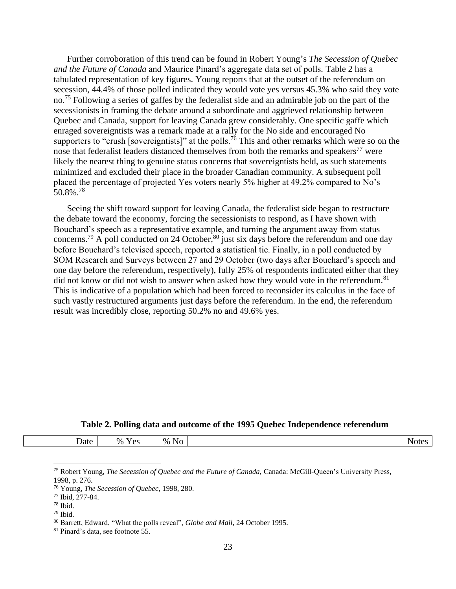Further corroboration of this trend can be found in Robert Young's *The Secession of Quebec and the Future of Canada* and Maurice Pinard's aggregate data set of polls*.* Table 2 has a tabulated representation of key figures. Young reports that at the outset of the referendum on secession, 44.4% of those polled indicated they would vote yes versus 45.3% who said they vote no.<sup>75</sup> Following a series of gaffes by the federalist side and an admirable job on the part of the secessionists in framing the debate around a subordinate and aggrieved relationship between Quebec and Canada, support for leaving Canada grew considerably. One specific gaffe which enraged sovereigntists was a remark made at a rally for the No side and encouraged No supporters to "crush [sovereigntists]" at the polls.<sup>76</sup> This and other remarks which were so on the nose that federalist leaders distanced themselves from both the remarks and speakers<sup>77</sup> were likely the nearest thing to genuine status concerns that sovereigntists held, as such statements minimized and excluded their place in the broader Canadian community. A subsequent poll placed the percentage of projected Yes voters nearly 5% higher at 49.2% compared to No's 50.8%.<sup>78</sup>

Seeing the shift toward support for leaving Canada, the federalist side began to restructure the debate toward the economy, forcing the secessionists to respond, as I have shown with Bouchard's speech as a representative example, and turning the argument away from status concerns.<sup>79</sup> A poll conducted on 24 October,<sup>80</sup> just six days before the referendum and one day before Bouchard's televised speech, reported a statistical tie. Finally, in a poll conducted by SOM Research and Surveys between 27 and 29 October (two days after Bouchard's speech and one day before the referendum, respectively), fully 25% of respondents indicated either that they did not know or did not wish to answer when asked how they would vote in the referendum.<sup>81</sup> This is indicative of a population which had been forced to reconsider its calculus in the face of such vastly restructured arguments just days before the referendum. In the end, the referendum result was incredibly close, reporting 50.2% no and 49.6% yes.

#### **Table 2. Polling data and outcome of the 1995 Quebec Independence referendum**

| $-$<br>Date | - -<br>$\%$<br>$\alpha$<br>-CO<br>$-$ | $\sim$<br>$\%$<br>No | NOL. |
|-------------|---------------------------------------|----------------------|------|
|             |                                       |                      |      |

<sup>75</sup> Robert Young, *The Secession of Quebec and the Future of Canada,* Canada: McGill-Queen's University Press, 1998, p. 276.

<sup>76</sup> Young, *The Secession of Quebec*, 1998, 280.

<sup>77</sup> Ibid, 277-84.

 $78$  Ibid.

 $79$  Ibid.

<sup>80</sup> Barrett, Edward, "What the polls reveal", *Globe and Mail,* 24 October 1995.

<sup>81</sup> Pinard's data, see footnote 55.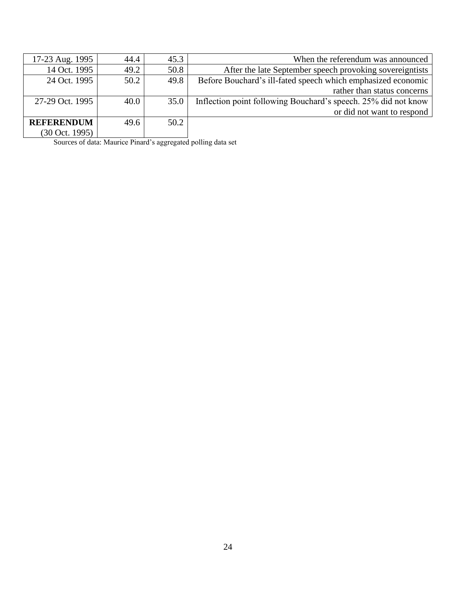| When the referendum was announced                              | 45.3 | 44.4 | 17-23 Aug. 1995   |
|----------------------------------------------------------------|------|------|-------------------|
| After the late September speech provoking sovereigntists       | 50.8 | 49.2 | 14 Oct. 1995      |
| Before Bouchard's ill-fated speech which emphasized economic   | 49.8 | 50.2 | 24 Oct. 1995      |
| rather than status concerns                                    |      |      |                   |
| Inflection point following Bouchard's speech. 25% did not know | 35.0 | 40.0 | 27-29 Oct. 1995   |
| or did not want to respond                                     |      |      |                   |
|                                                                | 50.2 | 49.6 | <b>REFERENDUM</b> |
|                                                                |      |      | (30 Oct. 1995)    |

Sources of data: Maurice Pinard's aggregated polling data set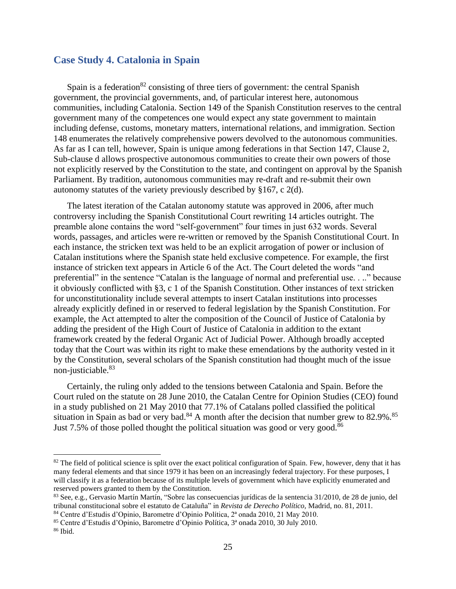# <span id="page-26-0"></span>**Case Study 4. Catalonia in Spain**

Spain is a federation<sup>82</sup> consisting of three tiers of government: the central Spanish government, the provincial governments, and, of particular interest here, autonomous communities, including Catalonia. Section 149 of the Spanish Constitution reserves to the central government many of the competences one would expect any state government to maintain including defense, customs, monetary matters, international relations, and immigration. Section 148 enumerates the relatively comprehensive powers devolved to the autonomous communities. As far as I can tell, however, Spain is unique among federations in that Section 147, Clause 2, Sub-clause d allows prospective autonomous communities to create their own powers of those not explicitly reserved by the Constitution to the state, and contingent on approval by the Spanish Parliament. By tradition, autonomous communities may re-draft and re-submit their own autonomy statutes of the variety previously described by §167, c 2(d).

The latest iteration of the Catalan autonomy statute was approved in 2006, after much controversy including the Spanish Constitutional Court rewriting 14 articles outright. The preamble alone contains the word "self-government" four times in just 632 words. Several words, passages, and articles were re-written or removed by the Spanish Constitutional Court. In each instance, the stricken text was held to be an explicit arrogation of power or inclusion of Catalan institutions where the Spanish state held exclusive competence. For example, the first instance of stricken text appears in Article 6 of the Act. The Court deleted the words "and preferential" in the sentence "Catalan is the language of normal and preferential use. . .." because it obviously conflicted with §3, c 1 of the Spanish Constitution. Other instances of text stricken for unconstitutionality include several attempts to insert Catalan institutions into processes already explicitly defined in or reserved to federal legislation by the Spanish Constitution. For example, the Act attempted to alter the composition of the Council of Justice of Catalonia by adding the president of the High Court of Justice of Catalonia in addition to the extant framework created by the federal Organic Act of Judicial Power. Although broadly accepted today that the Court was within its right to make these emendations by the authority vested in it by the Constitution, several scholars of the Spanish constitution had thought much of the issue non-justiciable.<sup>83</sup>

Certainly, the ruling only added to the tensions between Catalonia and Spain. Before the Court ruled on the statute on 28 June 2010, the Catalan Centre for Opinion Studies (CEO) found in a study published on 21 May 2010 that 77.1% of Catalans polled classified the political situation in Spain as bad or very bad.<sup>84</sup> A month after the decision that number grew to 82.9%.<sup>85</sup> Just 7.5% of those polled thought the political situation was good or very good.<sup>86</sup>

 $82$  The field of political science is split over the exact political configuration of Spain. Few, however, deny that it has many federal elements and that since 1979 it has been on an increasingly federal trajectory. For these purposes, I will classify it as a federation because of its multiple levels of government which have explicitly enumerated and reserved powers granted to them by the Constitution.

<sup>83</sup> See, e.g., Gervasio Martín Martín, "Sobre las consecuencias jurídicas de la sentencia 31/2010, de 28 de junio, del tribunal constitucional sobre el estatuto de Cataluña" in *Revista de Derecho Político,* Madrid, no. 81, 2011.

<sup>84</sup> Centre d'Estudis d'Opinio, Barometre d'Opinio Política, 2ª onada 2010, 21 May 2010.

<sup>85</sup> Centre d'Estudis d'Opinio, Barometre d'Opinio Política, 3ª onada 2010, 30 July 2010.

<sup>86</sup> Ibid.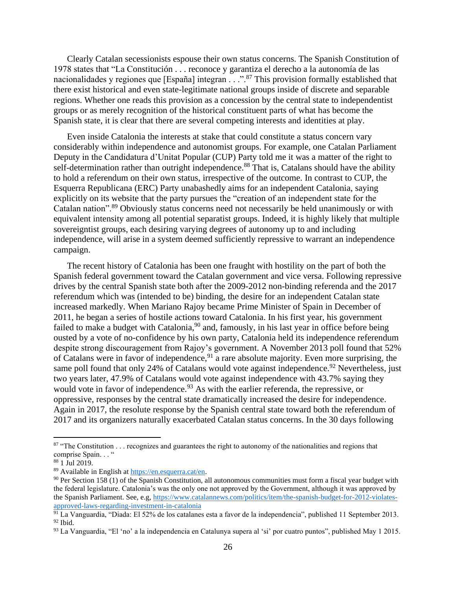Clearly Catalan secessionists espouse their own status concerns. The Spanish Constitution of 1978 states that "La Constitución . . . reconoce y garantiza el derecho a la autonomía de las nacionalidades y regiones que [España] integran  $\ldots$ ."<sup>87</sup> This provision formally established that there exist historical and even state-legitimate national groups inside of discrete and separable regions. Whether one reads this provision as a concession by the central state to independentist groups or as merely recognition of the historical constituent parts of what has become the Spanish state, it is clear that there are several competing interests and identities at play.

Even inside Catalonia the interests at stake that could constitute a status concern vary considerably within independence and autonomist groups. For example, one Catalan Parliament Deputy in the Candidatura d'Unitat Popular (CUP) Party told me it was a matter of the right to self-determination rather than outright independence.<sup>88</sup> That is, Catalans should have the ability to hold a referendum on their own status, irrespective of the outcome. In contrast to CUP, the Esquerra Republicana (ERC) Party unabashedly aims for an independent Catalonia, saying explicitly on its website that the party pursues the "creation of an independent state for the Catalan nation".<sup>89</sup> Obviously status concerns need not necessarily be held unanimously or with equivalent intensity among all potential separatist groups. Indeed, it is highly likely that multiple sovereigntist groups, each desiring varying degrees of autonomy up to and including independence, will arise in a system deemed sufficiently repressive to warrant an independence campaign.

The recent history of Catalonia has been one fraught with hostility on the part of both the Spanish federal government toward the Catalan government and vice versa. Following repressive drives by the central Spanish state both after the 2009-2012 non-binding referenda and the 2017 referendum which was (intended to be) binding, the desire for an independent Catalan state increased markedly. When Mariano Rajoy became Prime Minister of Spain in December of 2011, he began a series of hostile actions toward Catalonia. In his first year, his government failed to make a budget with Catalonia,  $90$  and, famously, in his last year in office before being ousted by a vote of no-confidence by his own party, Catalonia held its independence referendum despite strong discouragement from Rajoy's government. A November 2013 poll found that 52% of Catalans were in favor of independence,  $91$  a rare absolute majority. Even more surprising, the same poll found that only 24% of Catalans would vote against independence.<sup>92</sup> Nevertheless, just two years later, 47.9% of Catalans would vote against independence with 43.7% saying they would vote in favor of independence.<sup>93</sup> As with the earlier referenda, the repressive, or oppressive, responses by the central state dramatically increased the desire for independence. Again in 2017, the resolute response by the Spanish central state toward both the referendum of 2017 and its organizers naturally exacerbated Catalan status concerns. In the 30 days following

 $87$  "The Constitution . . . recognizes and guarantees the right to autonomy of the nationalities and regions that comprise Spain. . . "

 $88$  1 Jul 2019.

<sup>89</sup> Available in English at [https://en.esquerra.cat/en.](https://en.esquerra.cat/en) 

 $90$  Per Section 158 (1) of the Spanish Constitution, all autonomous communities must form a fiscal year budget with the federal legislature. Catalonia's was the only one not approved by the Government, although it was approved by the Spanish Parliament. See, e.g[, https://www.catalannews.com/politics/item/the-spanish-budget-for-2012-violates](https://www.catalannews.com/politics/item/the-spanish-budget-for-2012-violates-approved-laws-regarding-investment-in-catalonia)[approved-laws-regarding-investment-in-catalonia](https://www.catalannews.com/politics/item/the-spanish-budget-for-2012-violates-approved-laws-regarding-investment-in-catalonia)

<sup>&</sup>lt;sup>91</sup> La Vanguardia, "Diada: El 52% de los catalanes esta a favor de la independencia", published 11 September 2013.  $92$  Ibid.

<sup>93</sup> La Vanguardia, "El 'no' a la independencia en Catalunya supera al 'si' por cuatro puntos", published May 1 2015.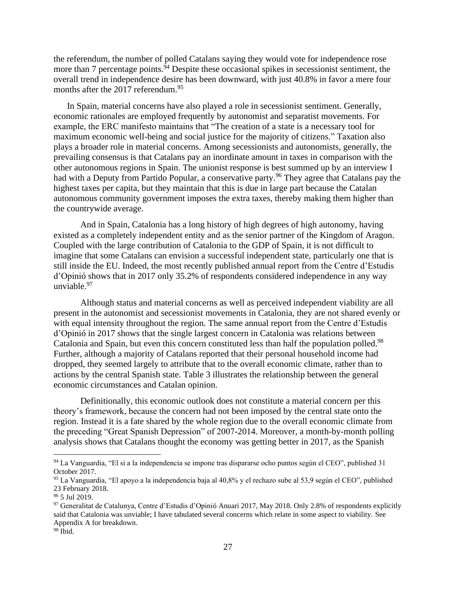the referendum, the number of polled Catalans saying they would vote for independence rose more than 7 percentage points. $94$  Despite these occasional spikes in secessionist sentiment, the overall trend in independence desire has been downward, with just 40.8% in favor a mere four months after the 2017 referendum.<sup>95</sup>

In Spain, material concerns have also played a role in secessionist sentiment. Generally, economic rationales are employed frequently by autonomist and separatist movements. For example, the ERC manifesto maintains that "The creation of a state is a necessary tool for maximum economic well-being and social justice for the majority of citizens." Taxation also plays a broader role in material concerns. Among secessionists and autonomists, generally, the prevailing consensus is that Catalans pay an inordinate amount in taxes in comparison with the other autonomous regions in Spain. The unionist response is best summed up by an interview I had with a Deputy from Partido Popular, a conservative party.<sup>96</sup> They agree that Catalans pay the highest taxes per capita, but they maintain that this is due in large part because the Catalan autonomous community government imposes the extra taxes, thereby making them higher than the countrywide average.

And in Spain, Catalonia has a long history of high degrees of high autonomy, having existed as a completely independent entity and as the senior partner of the Kingdom of Aragon. Coupled with the large contribution of Catalonia to the GDP of Spain, it is not difficult to imagine that some Catalans can envision a successful independent state, particularly one that is still inside the EU. Indeed, the most recently published annual report from the Centre d'Estudis d'Opinió shows that in 2017 only 35.2% of respondents considered independence in any way unviable.<sup>97</sup>

Although status and material concerns as well as perceived independent viability are all present in the autonomist and secessionist movements in Catalonia, they are not shared evenly or with equal intensity throughout the region. The same annual report from the Centre d'Estudis d'Opinió in 2017 shows that the single largest concern in Catalonia was relations between Catalonia and Spain, but even this concern constituted less than half the population polled.<sup>98</sup> Further, although a majority of Catalans reported that their personal household income had dropped, they seemed largely to attribute that to the overall economic climate, rather than to actions by the central Spanish state. Table 3 illustrates the relationship between the general economic circumstances and Catalan opinion.

Definitionally, this economic outlook does not constitute a material concern per this theory's framework, because the concern had not been imposed by the central state onto the region. Instead it is a fate shared by the whole region due to the overall economic climate from the preceding "Great Spanish Depression" of 2007-2014. Moreover, a month-by-month polling analysis shows that Catalans thought the economy was getting better in 2017, as the Spanish

<sup>94</sup> La Vanguardia, "El si a la independencia se impone tras dispararse ocho puntos según el CEO", published 31 October 2017.

<sup>95</sup> La Vanguardia, "El apoyo a la independencia baja al 40,8% y el rechazo sube al 53,9 según el CEO", published 23 February 2018.

<sup>96</sup> 5 Jul 2019.

 $97$  Generalitat de Catalunya, Centre d'Estudis d'Opinió Anuari 2017, May 2018. Only 2.8% of respondents explicitly said that Catalonia was unviable; I have tabulated several concerns which relate in some aspect to viability. See Appendix A for breakdown.

<sup>98</sup> Ibid.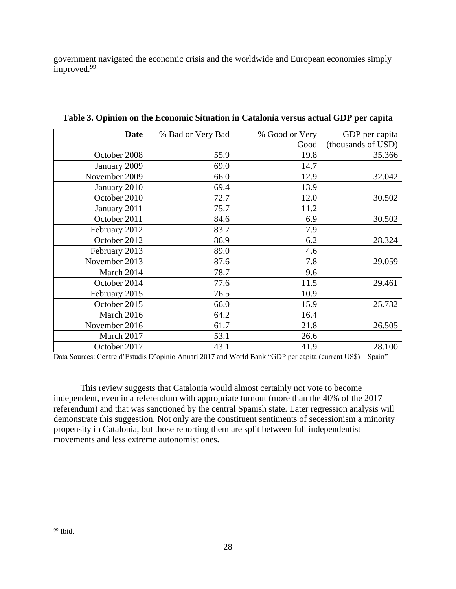government navigated the economic crisis and the worldwide and European economies simply improved. 99

| <b>Date</b>   | % Bad or Very Bad | % Good or Very | GDP per capita     |
|---------------|-------------------|----------------|--------------------|
|               |                   | Good           | (thousands of USD) |
| October 2008  | 55.9              | 19.8           | 35.366             |
| January 2009  | 69.0              | 14.7           |                    |
| November 2009 | 66.0              | 12.9           | 32.042             |
| January 2010  | 69.4              | 13.9           |                    |
| October 2010  | 72.7              | 12.0           | 30.502             |
| January 2011  | 75.7              | 11.2           |                    |
| October 2011  | 84.6              | 6.9            | 30.502             |
| February 2012 | 83.7              | 7.9            |                    |
| October 2012  | 86.9              | 6.2            | 28.324             |
| February 2013 | 89.0              | 4.6            |                    |
| November 2013 | 87.6              | 7.8            | 29.059             |
| March 2014    | 78.7              | 9.6            |                    |
| October 2014  | 77.6              | 11.5           | 29.461             |
| February 2015 | 76.5              | 10.9           |                    |
| October 2015  | 66.0              | 15.9           | 25.732             |
| March 2016    | 64.2              | 16.4           |                    |
| November 2016 | 61.7              | 21.8           | 26.505             |
| March 2017    | 53.1              | 26.6           |                    |
| October 2017  | 43.1              | 41.9           | 28.100             |

**Table 3. Opinion on the Economic Situation in Catalonia versus actual GDP per capita**

Data Sources: Centre d'Estudis D'opinio Anuari 2017 and World Bank "GDP per capita (current US\$) – Spain"

This review suggests that Catalonia would almost certainly not vote to become independent, even in a referendum with appropriate turnout (more than the 40% of the 2017 referendum) and that was sanctioned by the central Spanish state. Later regression analysis will demonstrate this suggestion. Not only are the constituent sentiments of secessionism a minority propensity in Catalonia, but those reporting them are split between full independentist movements and less extreme autonomist ones.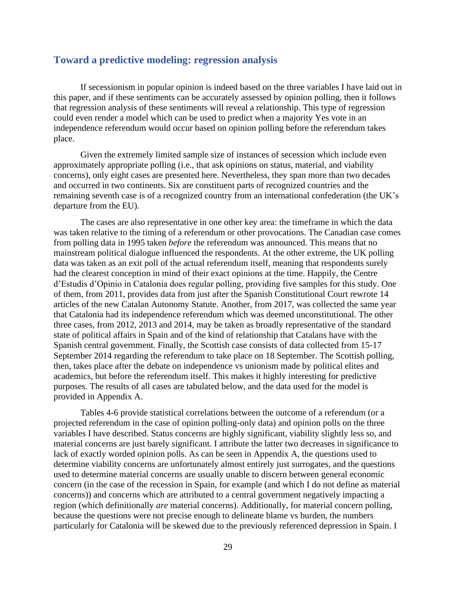# <span id="page-30-0"></span>**Toward a predictive modeling: regression analysis**

If secessionism in popular opinion is indeed based on the three variables I have laid out in this paper, and if these sentiments can be accurately assessed by opinion polling, then it follows that regression analysis of these sentiments will reveal a relationship. This type of regression could even render a model which can be used to predict when a majority Yes vote in an independence referendum would occur based on opinion polling before the referendum takes place.

Given the extremely limited sample size of instances of secession which include even approximately appropriate polling (i.e., that ask opinions on status, material, and viability concerns), only eight cases are presented here. Nevertheless, they span more than two decades and occurred in two continents. Six are constituent parts of recognized countries and the remaining seventh case is of a recognized country from an international confederation (the UK's departure from the EU).

The cases are also representative in one other key area: the timeframe in which the data was taken relative to the timing of a referendum or other provocations. The Canadian case comes from polling data in 1995 taken *before* the referendum was announced. This means that no mainstream political dialogue influenced the respondents. At the other extreme, the UK polling data was taken as an exit poll of the actual referendum itself, meaning that respondents surely had the clearest conception in mind of their exact opinions at the time. Happily, the Centre d'Estudis d'Opinio in Catalonia does regular polling, providing five samples for this study. One of them, from 2011, provides data from just after the Spanish Constitutional Court rewrote 14 articles of the new Catalan Autonomy Statute. Another, from 2017, was collected the same year that Catalonia had its independence referendum which was deemed unconstitutional. The other three cases, from 2012, 2013 and 2014, may be taken as broadly representative of the standard state of political affairs in Spain and of the kind of relationship that Catalans have with the Spanish central government. Finally, the Scottish case consists of data collected from 15-17 September 2014 regarding the referendum to take place on 18 September. The Scottish polling, then, takes place after the debate on independence vs unionism made by political elites and academics, but before the referendum itself. This makes it highly interesting for predictive purposes. The results of all cases are tabulated below, and the data used for the model is provided in Appendix A.

Tables 4-6 provide statistical correlations between the outcome of a referendum (or a projected referendum in the case of opinion polling-only data) and opinion polls on the three variables I have described. Status concerns are highly significant, viability slightly less so, and material concerns are just barely significant. I attribute the latter two decreases in significance to lack of exactly worded opinion polls. As can be seen in Appendix A, the questions used to determine viability concerns are unfortunately almost entirely just surrogates, and the questions used to determine material concerns are usually unable to discern between general economic concern (in the case of the recession in Spain, for example (and which I do not define as material concerns)) and concerns which are attributed to a central government negatively impacting a region (which definitionally *are* material concerns). Additionally, for material concern polling, because the questions were not precise enough to delineate blame vs burden, the numbers particularly for Catalonia will be skewed due to the previously referenced depression in Spain. I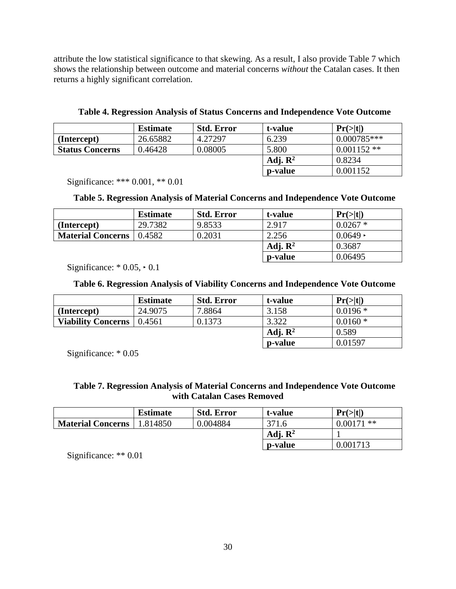attribute the low statistical significance to that skewing. As a result, I also provide Table 7 which shows the relationship between outcome and material concerns *without* the Catalan cases. It then returns a highly significant correlation.

**Table 4. Regression Analysis of Status Concerns and Independence Vote Outcome**

|                        | <b>Estimate</b> | <b>Std. Error</b> | t-value             | Pr(> t )      |
|------------------------|-----------------|-------------------|---------------------|---------------|
| (Intercept)            | 26.65882        | 4.27297           | 6.239               | $0.000785***$ |
| <b>Status Concerns</b> | 0.46428         | 0.08005           | 5.800               | $0.001152**$  |
|                        |                 |                   | Adj. $\mathbb{R}^2$ | 0.8234        |
|                        |                 |                   | p-value             | 0.001152      |

Significance: \*\*\* 0.001, \*\* 0.01

# **Table 5. Regression Analysis of Material Concerns and Independence Vote Outcome**

|                          | <b>Estimate</b> | <b>Std. Error</b> | t-value             | Pr(> t )       |
|--------------------------|-----------------|-------------------|---------------------|----------------|
| (Intercept)              | 29.7382         | 9.8533            | 2.917               | $0.0267*$      |
| <b>Material Concerns</b> | 0.4582          | 0.2031            | 2.256               | $0.0649 \cdot$ |
|                          |                 |                   | Adj. $\mathbb{R}^2$ | 0.3687         |
|                          |                 |                   | p-value             | 0.06495        |

Significance:  $* 0.05 \div 0.1$ 

# **Table 6. Regression Analysis of Viability Concerns and Independence Vote Outcome**

|                           | <b>Estimate</b> | <b>Std. Error</b> | t-value             | Pr(> t )  |
|---------------------------|-----------------|-------------------|---------------------|-----------|
| (Intercept)               | 24.9075         | 7.8864            | 3.158               | $0.0196*$ |
| <b>Viability Concerns</b> | 0.4561          | 0.1373            | 3.322               | $0.0160*$ |
|                           |                 |                   | Adj. $\mathbb{R}^2$ | 0.589     |
|                           |                 |                   | p-value             | 0.01597   |

Significance: \* 0.05

# **Table 7. Regression Analysis of Material Concerns and Independence Vote Outcome with Catalan Cases Removed**

|                          | <b>Estimate</b> | <b>Std. Error</b> | t-value             | Pr(> t )     |
|--------------------------|-----------------|-------------------|---------------------|--------------|
| <b>Material Concerns</b> | .814850         | 0.004884          | 371.6               | $0.00171$ ** |
|                          |                 |                   | Adj. $\mathbb{R}^2$ |              |
|                          |                 |                   | p-value             | 0.001713     |

Significance: \*\* 0.01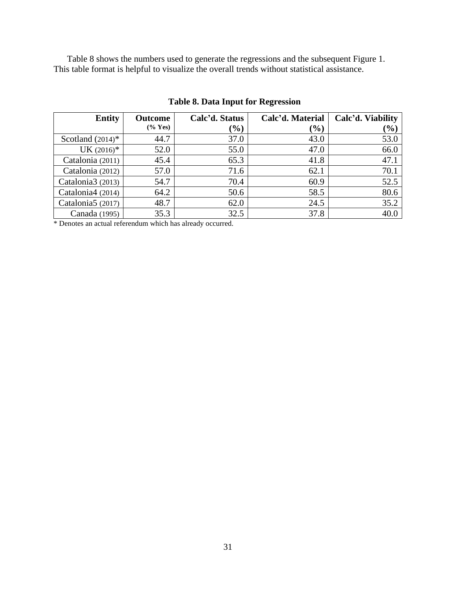Table 8 shows the numbers used to generate the regressions and the subsequent Figure 1. This table format is helpful to visualize the overall trends without statistical assistance.

| <b>Entity</b>                 | <b>Outcome</b>    | Calc'd. Status | Calc'd. Material | Calc'd. Viability |
|-------------------------------|-------------------|----------------|------------------|-------------------|
|                               | $(\% \text{Yes})$ | $(\%)$         | (%)              | $(\%)$            |
| Scotland $(2014)^*$           | 44.7              | 37.0           | 43.0             | 53.0              |
| $UK (2016)*$                  | 52.0              | 55.0           | 47.0             | 66.0              |
| Catalonia (2011)              | 45.4              | 65.3           | 41.8             | 47.1              |
| Catalonia (2012)              | 57.0              | 71.6           | 62.1             | 70.1              |
| Catalonia3 (2013)             | 54.7              | 70.4           | 60.9             | 52.5              |
| Catalonia4 (2014)             | 64.2              | 50.6           | 58.5             | 80.6              |
| Catalonia <sub>5</sub> (2017) | 48.7              | 62.0           | 24.5             | 35.2              |
| Canada (1995)                 | 35.3              | 32.5           | 37.8             | 40.0              |

**Table 8. Data Input for Regression**

\* Denotes an actual referendum which has already occurred.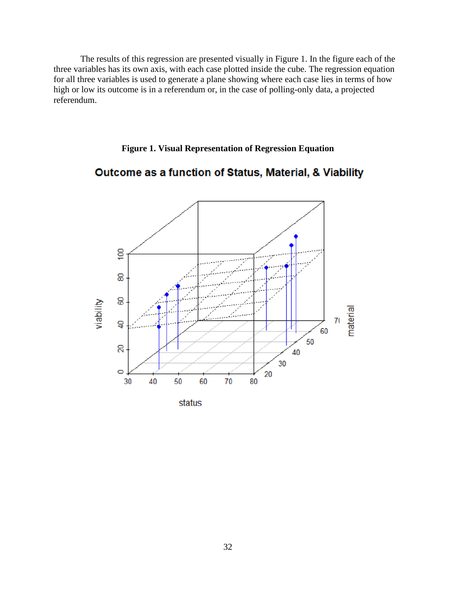The results of this regression are presented visually in Figure 1. In the figure each of the three variables has its own axis, with each case plotted inside the cube. The regression equation for all three variables is used to generate a plane showing where each case lies in terms of how high or low its outcome is in a referendum or, in the case of polling-only data, a projected referendum.

# **Figure 1. Visual Representation of Regression Equation**

# Outcome as a function of Status, Material, & Viability

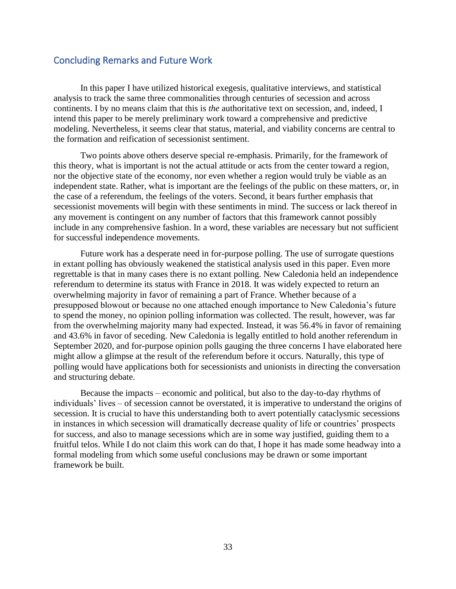# <span id="page-34-0"></span>Concluding Remarks and Future Work

In this paper I have utilized historical exegesis, qualitative interviews, and statistical analysis to track the same three commonalities through centuries of secession and across continents. I by no means claim that this is *the* authoritative text on secession, and, indeed, I intend this paper to be merely preliminary work toward a comprehensive and predictive modeling. Nevertheless, it seems clear that status, material, and viability concerns are central to the formation and reification of secessionist sentiment.

Two points above others deserve special re-emphasis. Primarily, for the framework of this theory, what is important is not the actual attitude or acts from the center toward a region, nor the objective state of the economy, nor even whether a region would truly be viable as an independent state. Rather, what is important are the feelings of the public on these matters, or, in the case of a referendum, the feelings of the voters. Second, it bears further emphasis that secessionist movements will begin with these sentiments in mind. The success or lack thereof in any movement is contingent on any number of factors that this framework cannot possibly include in any comprehensive fashion. In a word, these variables are necessary but not sufficient for successful independence movements.

Future work has a desperate need in for-purpose polling. The use of surrogate questions in extant polling has obviously weakened the statistical analysis used in this paper. Even more regrettable is that in many cases there is no extant polling. New Caledonia held an independence referendum to determine its status with France in 2018. It was widely expected to return an overwhelming majority in favor of remaining a part of France. Whether because of a presupposed blowout or because no one attached enough importance to New Caledonia's future to spend the money, no opinion polling information was collected. The result, however, was far from the overwhelming majority many had expected. Instead, it was 56.4% in favor of remaining and 43.6% in favor of seceding. New Caledonia is legally entitled to hold another referendum in September 2020, and for-purpose opinion polls gauging the three concerns I have elaborated here might allow a glimpse at the result of the referendum before it occurs. Naturally, this type of polling would have applications both for secessionists and unionists in directing the conversation and structuring debate.

Because the impacts – economic and political, but also to the day-to-day rhythms of individuals' lives – of secession cannot be overstated, it is imperative to understand the origins of secession. It is crucial to have this understanding both to avert potentially cataclysmic secessions in instances in which secession will dramatically decrease quality of life or countries' prospects for success, and also to manage secessions which are in some way justified, guiding them to a fruitful telos. While I do not claim this work can do that, I hope it has made some headway into a formal modeling from which some useful conclusions may be drawn or some important framework be built.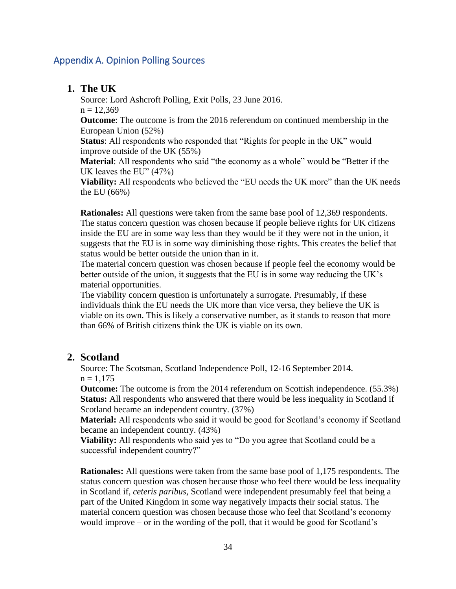# <span id="page-35-0"></span>Appendix A. Opinion Polling Sources

# **1. The UK**

Source: Lord Ashcroft Polling, Exit Polls, 23 June 2016.

 $n = 12,369$ 

**Outcome**: The outcome is from the 2016 referendum on continued membership in the European Union (52%)

**Status**: All respondents who responded that "Rights for people in the UK" would improve outside of the UK (55%)

**Material**: All respondents who said "the economy as a whole" would be "Better if the UK leaves the EU" (47%)

**Viability:** All respondents who believed the "EU needs the UK more" than the UK needs the EU (66%)

**Rationales:** All questions were taken from the same base pool of 12,369 respondents. The status concern question was chosen because if people believe rights for UK citizens inside the EU are in some way less than they would be if they were not in the union, it suggests that the EU is in some way diminishing those rights. This creates the belief that status would be better outside the union than in it.

The material concern question was chosen because if people feel the economy would be better outside of the union, it suggests that the EU is in some way reducing the UK's material opportunities.

The viability concern question is unfortunately a surrogate. Presumably, if these individuals think the EU needs the UK more than vice versa, they believe the UK is viable on its own. This is likely a conservative number, as it stands to reason that more than 66% of British citizens think the UK is viable on its own.

# **2. Scotland**

Source: The Scotsman, Scotland Independence Poll, 12-16 September 2014.  $n = 1.175$ 

**Outcome:** The outcome is from the 2014 referendum on Scottish independence. (55.3%) **Status:** All respondents who answered that there would be less inequality in Scotland if Scotland became an independent country. (37%)

**Material:** All respondents who said it would be good for Scotland's economy if Scotland became an independent country. (43%)

**Viability:** All respondents who said yes to "Do you agree that Scotland could be a successful independent country?"

**Rationales:** All questions were taken from the same base pool of 1,175 respondents. The status concern question was chosen because those who feel there would be less inequality in Scotland if, *ceteris paribus,* Scotland were independent presumably feel that being a part of the United Kingdom in some way negatively impacts their social status. The material concern question was chosen because those who feel that Scotland's economy would improve – or in the wording of the poll, that it would be good for Scotland's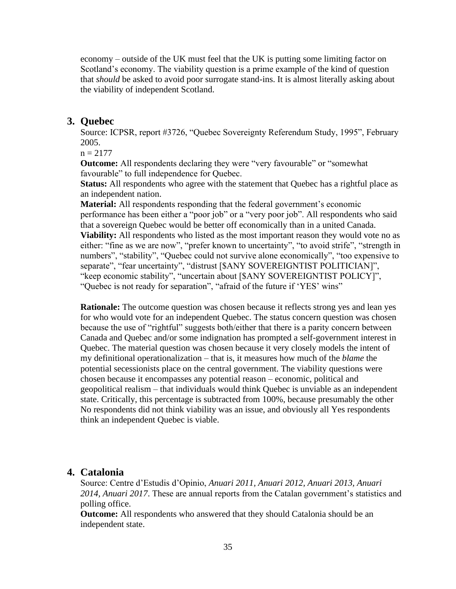economy – outside of the UK must feel that the UK is putting some limiting factor on Scotland's economy. The viability question is a prime example of the kind of question that *should* be asked to avoid poor surrogate stand-ins. It is almost literally asking about the viability of independent Scotland.

#### **3. Quebec**

Source: ICPSR, report #3726, "Quebec Sovereignty Referendum Study, 1995", February 2005.

 $n = 2177$ 

**Outcome:** All respondents declaring they were "very favourable" or "somewhat favourable" to full independence for Quebec.

**Status:** All respondents who agree with the statement that Quebec has a rightful place as an independent nation.

**Material:** All respondents responding that the federal government's economic performance has been either a "poor job" or a "very poor job". All respondents who said that a sovereign Quebec would be better off economically than in a united Canada.

**Viability:** All respondents who listed as the most important reason they would vote no as either: "fine as we are now", "prefer known to uncertainty", "to avoid strife", "strength in numbers", "stability", "Quebec could not survive alone economically", "too expensive to separate", "fear uncertainty", "distrust [\$ANY SOVEREIGNTIST POLITICIAN]", "keep economic stability", "uncertain about [\$ANY SOVEREIGNTIST POLICY]", "Quebec is not ready for separation", "afraid of the future if 'YES' wins"

**Rationale:** The outcome question was chosen because it reflects strong yes and lean yes for who would vote for an independent Quebec. The status concern question was chosen because the use of "rightful" suggests both/either that there is a parity concern between Canada and Quebec and/or some indignation has prompted a self-government interest in Quebec. The material question was chosen because it very closely models the intent of my definitional operationalization – that is, it measures how much of the *blame* the potential secessionists place on the central government. The viability questions were chosen because it encompasses any potential reason – economic, political and geopolitical realism – that individuals would think Quebec is unviable as an independent state. Critically, this percentage is subtracted from 100%, because presumably the other No respondents did not think viability was an issue, and obviously all Yes respondents think an independent Quebec is viable.

#### **4. Catalonia**

Source: Centre d'Estudis d'Opinio, *Anuari 2011, Anuari 2012, Anuari 2013, Anuari 2014, Anuari 2017*. These are annual reports from the Catalan government's statistics and polling office.

**Outcome:** All respondents who answered that they should Catalonia should be an independent state.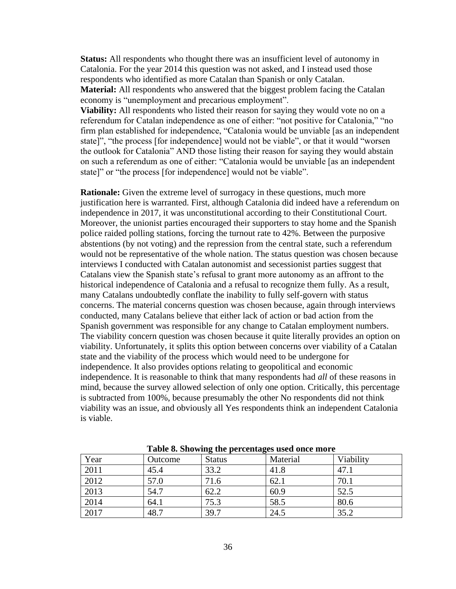**Status:** All respondents who thought there was an insufficient level of autonomy in Catalonia. For the year 2014 this question was not asked, and I instead used those respondents who identified as more Catalan than Spanish or only Catalan.

**Material:** All respondents who answered that the biggest problem facing the Catalan economy is "unemployment and precarious employment".

**Viability:** All respondents who listed their reason for saying they would vote no on a referendum for Catalan independence as one of either: "not positive for Catalonia," "no firm plan established for independence, "Catalonia would be unviable [as an independent state]", "the process [for independence] would not be viable", or that it would "worsen the outlook for Catalonia" AND those listing their reason for saying they would abstain on such a referendum as one of either: "Catalonia would be unviable [as an independent state]" or "the process [for independence] would not be viable".

**Rationale:** Given the extreme level of surrogacy in these questions, much more justification here is warranted. First, although Catalonia did indeed have a referendum on independence in 2017, it was unconstitutional according to their Constitutional Court. Moreover, the unionist parties encouraged their supporters to stay home and the Spanish police raided polling stations, forcing the turnout rate to 42%. Between the purposive abstentions (by not voting) and the repression from the central state, such a referendum would not be representative of the whole nation. The status question was chosen because interviews I conducted with Catalan autonomist and secessionist parties suggest that Catalans view the Spanish state's refusal to grant more autonomy as an affront to the historical independence of Catalonia and a refusal to recognize them fully. As a result, many Catalans undoubtedly conflate the inability to fully self-govern with status concerns. The material concerns question was chosen because, again through interviews conducted, many Catalans believe that either lack of action or bad action from the Spanish government was responsible for any change to Catalan employment numbers. The viability concern question was chosen because it quite literally provides an option on viability. Unfortunately, it splits this option between concerns over viability of a Catalan state and the viability of the process which would need to be undergone for independence. It also provides options relating to geopolitical and economic independence. It is reasonable to think that many respondents had *all* of these reasons in mind, because the survey allowed selection of only one option. Critically, this percentage is subtracted from 100%, because presumably the other No respondents did not think viability was an issue, and obviously all Yes respondents think an independent Catalonia is viable.

| Year | Outcome | 0<br><b>Status</b> | Material | Viability |
|------|---------|--------------------|----------|-----------|
| 2011 | 45.4    | 33.2               | 41.8     | 47.1      |
| 2012 | 57.0    | 71.6               | 62.1     | 70.1      |
| 2013 | 54.7    | 62.2               | 60.9     | 52.5      |
| 2014 | 64.1    | 75.3               | 58.5     | 80.6      |
| 2017 | 48.7    | 39.7               | 24.5     | 35.2      |

**Table 8. Showing the percentages used once more**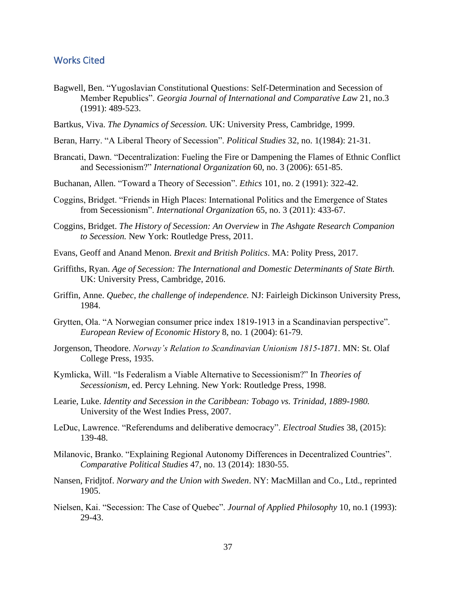# <span id="page-38-0"></span>Works Cited

- Bagwell, Ben. "Yugoslavian Constitutional Questions: Self-Determination and Secession of Member Republics". *Georgia Journal of International and Comparative Law* 21, no.3 (1991): 489-523.
- Bartkus, Viva. *The Dynamics of Secession.* UK: University Press, Cambridge, 1999.
- Beran, Harry. "A Liberal Theory of Secession". *Political Studies* 32, no. 1(1984): 21-31.
- Brancati, Dawn. "Decentralization: Fueling the Fire or Dampening the Flames of Ethnic Conflict and Secessionism?" *International Organization* 60, no. 3 (2006): 651-85.
- Buchanan, Allen. "Toward a Theory of Secession". *Ethics* 101, no. 2 (1991): 322-42.
- Coggins, Bridget. "Friends in High Places: International Politics and the Emergence of States from Secessionism". *International Organization* 65, no. 3 (2011): 433-67.
- Coggins, Bridget. *The History of Secession: An Overview* in *The Ashgate Research Companion to Secession.* New York: Routledge Press, 2011.
- Evans, Geoff and Anand Menon. *Brexit and British Politics*. MA: Polity Press, 2017.
- Griffiths, Ryan. *Age of Secession: The International and Domestic Determinants of State Birth.*  UK: University Press, Cambridge, 2016.
- Griffin, Anne. *Quebec, the challenge of independence.* NJ: Fairleigh Dickinson University Press, 1984.
- Grytten, Ola. "A Norwegian consumer price index 1819-1913 in a Scandinavian perspective". *European Review of Economic History* 8, no. 1 (2004): 61-79.
- Jorgenson, Theodore. *Norway's Relation to Scandinavian Unionism 1815-1871.* MN: St. Olaf College Press, 1935.
- Kymlicka, Will. "Is Federalism a Viable Alternative to Secessionism?" In *Theories of Secessionism,* ed. Percy Lehning. New York: Routledge Press, 1998.
- Learie, Luke. *Identity and Secession in the Caribbean: Tobago vs. Trinidad, 1889-1980.*  University of the West Indies Press, 2007.
- LeDuc, Lawrence. "Referendums and deliberative democracy". *Electroal Studies* 38, (2015): 139-48.
- Milanovic, Branko. "Explaining Regional Autonomy Differences in Decentralized Countries". *Comparative Political Studies* 47, no. 13 (2014): 1830-55.
- Nansen, Fridjtof. *Norwary and the Union with Sweden*. NY: MacMillan and Co., Ltd., reprinted 1905.
- Nielsen, Kai. "Secession: The Case of Quebec". *Journal of Applied Philosophy* 10, no.1 (1993): 29-43.